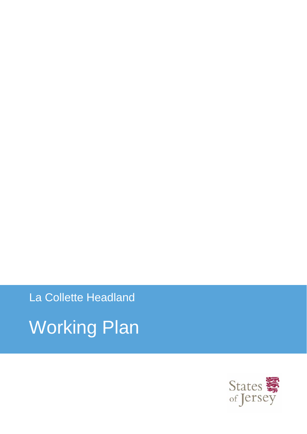La Collette Headland Working Plan

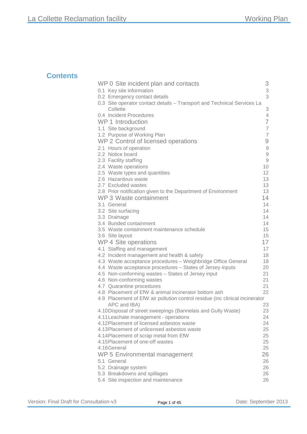### **Contents**

| WP 0 Site incident plan and contacts                                         | 3                                                         |
|------------------------------------------------------------------------------|-----------------------------------------------------------|
| 0.1 Key site information                                                     | 3                                                         |
| 0.2 Emergency contact details                                                | 3                                                         |
| 0.3 Site operator contact details - Transport and Technical Services La      |                                                           |
| Collette                                                                     | 3                                                         |
| 0.4 Incident Procedures                                                      | 4                                                         |
| <b>WP 1 Introduction</b>                                                     | $\overline{7}$                                            |
| 1.1 Site background                                                          | $\overline{7}$                                            |
| 1.2 Purpose of Working Plan                                                  | $\overline{7}$                                            |
| WP 2 Control of licensed operations                                          | 9                                                         |
| 2.1 Hours of operation                                                       | $\mathcal{G}% _{M_{1},M_{2}}^{\alpha,\beta}(\mathcal{A})$ |
| 2.2 Notice board                                                             | $\mathcal G$                                              |
| 2.3 Facility staffing                                                        | $\hbox{g}$                                                |
| 2.4 Waste operations                                                         | 10                                                        |
| 2.5 Waste types and quantities                                               | 12                                                        |
| 2.6 Hazardous waste                                                          | 13                                                        |
| 2.7 Excluded wastes                                                          | 13                                                        |
| 2.8 Prior notification given to the Department of Environment                | 13                                                        |
| WP 3 Waste containment                                                       | 14                                                        |
| 3.1 General                                                                  | 14                                                        |
| 3.2 Site surfacing                                                           | 14                                                        |
| 3.3 Drainage                                                                 | 14                                                        |
| 3.4 Bunded containment<br>3.5 Waste containment maintenance schedule         | 14<br>15                                                  |
| 3.6 Site layout                                                              | 15                                                        |
| WP 4 Site operations                                                         | 17                                                        |
| 4.1 Staffing and management                                                  | 17                                                        |
| 4.2 Incident management and health & safety                                  | 18                                                        |
| 4.3 Waste acceptance procedures - Weighbridge Office General                 | 18                                                        |
| 4.4 Waste acceptance procedures - States of Jersey inputs                    | 20                                                        |
| 4.5 Non-conforming wastes - States of Jersey input                           | 21                                                        |
| 4.6 Non-conforming wastes                                                    | 21                                                        |
| 4.7 Quarantine procedures                                                    | 21                                                        |
| 4.8 Placement of EfW & animal incinerator bottom ash                         | 22                                                        |
| 4.9 Placement of EfW air pollution control residue (inc clinical incinerator |                                                           |
| APC and IBA)                                                                 | 23                                                        |
| 4.10Disposal of street sweepings (Bannelais and Gully Waste)                 | 23                                                        |
| 4.11 Leachate management - operations                                        | 24                                                        |
| 4.12 Placement of licensed asbestos waste                                    | 24                                                        |
| 4.13 Placement of unlicensed asbestos waste                                  | 25                                                        |
| 4.14 Placement of scrap metal from EfW                                       | 25                                                        |
| 4.15 Placement of one-off wastes<br>4.16General                              | 25                                                        |
|                                                                              | 25                                                        |
| WP 5 Environmental management                                                | 26                                                        |
| 5.1 General                                                                  | 26                                                        |
| 5.2 Drainage system<br>5.3 Breakdowns and spillages                          | 26<br>26                                                  |
| 5.4 Site inspection and maintenance                                          | 26                                                        |
|                                                                              |                                                           |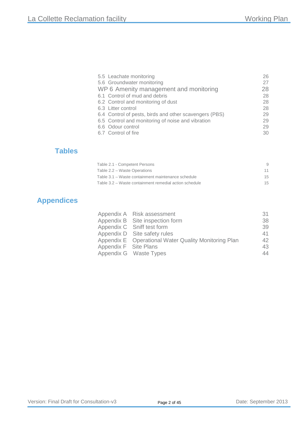| 26<br>27 |
|----------|
| 28       |
| 28       |
| 28       |
| 28       |
| 29       |
| 29       |
| 29       |
| 30       |
|          |

### **Tables**

| Table 2.1 - Competent Persons                          | <sup>9</sup> |
|--------------------------------------------------------|--------------|
| Table 2.2 – Waste Operations                           | 11           |
| Table 3.1 – Waste containment maintenance schedule     | 15           |
| Table 3.2 – Waste containment remedial action schedule | 15           |

### **Appendices**

|                       | Appendix A Risk assessment                           | 31 |
|-----------------------|------------------------------------------------------|----|
|                       | Appendix B Site inspection form                      | 38 |
|                       | Appendix C Sniff test form                           | 39 |
|                       | Appendix D Site safety rules                         | 41 |
|                       | Appendix E Operational Water Quality Monitoring Plan | 42 |
| Appendix F Site Plans |                                                      | 43 |
|                       | Appendix G Waste Types                               | 44 |
|                       |                                                      |    |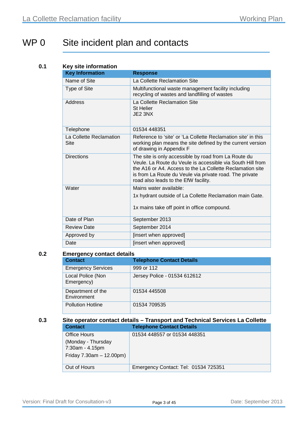# <span id="page-3-0"></span>WP 0 Site incident plan and contacts

#### **0.1 Key site information**

| <b>Key Information</b>                 | <b>Response</b>                                                                                                                                                                                                                                                                    |
|----------------------------------------|------------------------------------------------------------------------------------------------------------------------------------------------------------------------------------------------------------------------------------------------------------------------------------|
| Name of Site                           | La Collette Reclamation Site                                                                                                                                                                                                                                                       |
| Type of Site                           | Multifunctional waste management facility including<br>recycling of wastes and landfilling of wastes                                                                                                                                                                               |
| Address                                | La Collette Reclamation Site<br><b>St Helier</b><br>JE2 3NX                                                                                                                                                                                                                        |
| Telephone                              | 01534 448351                                                                                                                                                                                                                                                                       |
| La Collette Reclamation<br><b>Site</b> | Reference to 'site' or 'La Collette Reclamation site' in this<br>working plan means the site defined by the current version<br>of drawing in Appendix F                                                                                                                            |
| <b>Directions</b>                      | The site is only accessible by road from La Route du<br>Veule, La Route du Veule is accessible via South Hill from<br>the A16 or A4. Access to the La Collette Reclamation site<br>is from La Route du Veule via private road. The private<br>road also leads to the EfW facility. |
| Water                                  | Mains water available:                                                                                                                                                                                                                                                             |
|                                        | 1x hydrant outside of La Collette Reclamation main Gate.<br>1x mains take off point in office compound.                                                                                                                                                                            |
| Date of Plan                           | September 2013                                                                                                                                                                                                                                                                     |
| <b>Review Date</b>                     | September 2014                                                                                                                                                                                                                                                                     |
| Approved by                            | [insert when approved]                                                                                                                                                                                                                                                             |
| Date                                   | [insert when approved]                                                                                                                                                                                                                                                             |

#### **0.2 Emergency contact details**

| <b>Contact</b>                   | <b>Telephone Contact Details</b> |
|----------------------------------|----------------------------------|
| <b>Emergency Services</b>        | 999 or 112                       |
| Local Police (Non<br>Emergency)  | Jersey Police - 01534 612612     |
| Department of the<br>Environment | 01534 445508                     |
| <b>Pollution Hotline</b>         | 01534 709535                     |

#### **0.3 Site operator contact details – Transport and Technical Services La Collette Contact Telephone Contact Details**

| wuniaut                                                                | <b>I GIGDITUITE CONTACT DETAILS</b>  |
|------------------------------------------------------------------------|--------------------------------------|
| Office Hours                                                           | 01534 448557 or 01534 448351         |
| (Monday - Thursday<br>7:30am - 4.15pm<br>Friday $7.30$ am $-12.00$ pm) |                                      |
| Out of Hours                                                           | Emergency Contact: Tel: 01534 725351 |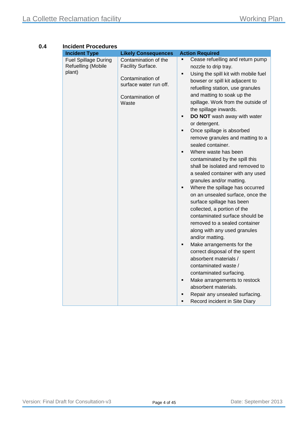| <b>Incident Type</b>                                        | <b>Likely Consequences</b>                                                                                           | <b>Action Required</b>                                                                                                                                                                                                                                                                                                                                                                                                                                                                                                                                                                                                                                                                                                                                                                                                                                                                                                                                                                                                                                                                                                                                      |
|-------------------------------------------------------------|----------------------------------------------------------------------------------------------------------------------|-------------------------------------------------------------------------------------------------------------------------------------------------------------------------------------------------------------------------------------------------------------------------------------------------------------------------------------------------------------------------------------------------------------------------------------------------------------------------------------------------------------------------------------------------------------------------------------------------------------------------------------------------------------------------------------------------------------------------------------------------------------------------------------------------------------------------------------------------------------------------------------------------------------------------------------------------------------------------------------------------------------------------------------------------------------------------------------------------------------------------------------------------------------|
| <b>Fuel Spillage During</b><br>Refuelling (Mobile<br>plant) | Contamination of the<br>Facility Surface.<br>Contamination of<br>surface water run off.<br>Contamination of<br>Waste | Cease refuelling and return pump<br>Ξ<br>nozzle to drip tray.<br>Using the spill kit with mobile fuel<br>$\blacksquare$<br>bowser or spill kit adjacent to<br>refuelling station, use granules<br>and matting to soak up the<br>spillage. Work from the outside of<br>the spillage inwards.<br>DO NOT wash away with water<br>٠<br>or detergent.<br>Once spillage is absorbed<br>Ξ<br>remove granules and matting to a<br>sealed container.<br>Where waste has been<br>Ξ<br>contaminated by the spill this<br>shall be isolated and removed to<br>a sealed container with any used<br>granules and/or matting.<br>Where the spillage has occurred<br>Ξ<br>on an unsealed surface, once the<br>surface spillage has been<br>collected, a portion of the<br>contaminated surface should be<br>removed to a sealed container<br>along with any used granules<br>and/or matting.<br>Make arrangements for the<br>٠<br>correct disposal of the spent<br>absorbent materials /<br>contaminated waste /<br>contaminated surfacing.<br>Make arrangements to restock<br>٠<br>absorbent materials.<br>Repair any unsealed surfacing.<br>Record incident in Site Diary |

#### <span id="page-4-0"></span>**0.4 Incident Procedures**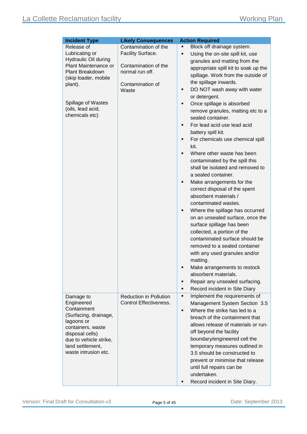| <b>Incident Type</b><br>Block off drainage system.<br>Release of<br>Contamination of the<br>Ξ<br>Facility Surface.<br>Lubricating or<br>Using the on-site spill kit, use<br>Ξ<br><b>Hydraulic Oil during</b><br>granules and matting from the<br>Plant Maintenance or<br>Contamination of the<br>appropriate spill kit to soak up the<br>Plant Breakdown<br>normal run off.<br>spillage. Work from the outside of<br>(skip loader, mobile<br>the spillage inwards.<br>Contamination of<br>plant).<br>DO NOT wash away with water<br>٠<br>Waste<br>or detergent.<br>Spillage of Wastes<br>Once spillage is absorbed<br>٠<br>(oils, lead acid,<br>remove granules, matting etc to a<br>chemicals etc)<br>sealed container.<br>For lead acid use lead acid<br>٠<br>battery spill kit.<br>For chemicals use chemical spill<br>٠<br>kit.<br>Where other waste has been<br>contaminated by the spill this<br>shall be isolated and removed to<br>a sealed container.<br>Make arrangements for the<br>٠<br>correct disposal of the spent<br>absorbent materials /<br>contaminated wastes.<br>Where the spillage has occurred<br>٠<br>on an unsealed surface, once the |
|----------------------------------------------------------------------------------------------------------------------------------------------------------------------------------------------------------------------------------------------------------------------------------------------------------------------------------------------------------------------------------------------------------------------------------------------------------------------------------------------------------------------------------------------------------------------------------------------------------------------------------------------------------------------------------------------------------------------------------------------------------------------------------------------------------------------------------------------------------------------------------------------------------------------------------------------------------------------------------------------------------------------------------------------------------------------------------------------------------------------------------------------------------------|
|                                                                                                                                                                                                                                                                                                                                                                                                                                                                                                                                                                                                                                                                                                                                                                                                                                                                                                                                                                                                                                                                                                                                                                |
|                                                                                                                                                                                                                                                                                                                                                                                                                                                                                                                                                                                                                                                                                                                                                                                                                                                                                                                                                                                                                                                                                                                                                                |
|                                                                                                                                                                                                                                                                                                                                                                                                                                                                                                                                                                                                                                                                                                                                                                                                                                                                                                                                                                                                                                                                                                                                                                |
|                                                                                                                                                                                                                                                                                                                                                                                                                                                                                                                                                                                                                                                                                                                                                                                                                                                                                                                                                                                                                                                                                                                                                                |
|                                                                                                                                                                                                                                                                                                                                                                                                                                                                                                                                                                                                                                                                                                                                                                                                                                                                                                                                                                                                                                                                                                                                                                |
|                                                                                                                                                                                                                                                                                                                                                                                                                                                                                                                                                                                                                                                                                                                                                                                                                                                                                                                                                                                                                                                                                                                                                                |
|                                                                                                                                                                                                                                                                                                                                                                                                                                                                                                                                                                                                                                                                                                                                                                                                                                                                                                                                                                                                                                                                                                                                                                |
|                                                                                                                                                                                                                                                                                                                                                                                                                                                                                                                                                                                                                                                                                                                                                                                                                                                                                                                                                                                                                                                                                                                                                                |
|                                                                                                                                                                                                                                                                                                                                                                                                                                                                                                                                                                                                                                                                                                                                                                                                                                                                                                                                                                                                                                                                                                                                                                |
|                                                                                                                                                                                                                                                                                                                                                                                                                                                                                                                                                                                                                                                                                                                                                                                                                                                                                                                                                                                                                                                                                                                                                                |
|                                                                                                                                                                                                                                                                                                                                                                                                                                                                                                                                                                                                                                                                                                                                                                                                                                                                                                                                                                                                                                                                                                                                                                |
|                                                                                                                                                                                                                                                                                                                                                                                                                                                                                                                                                                                                                                                                                                                                                                                                                                                                                                                                                                                                                                                                                                                                                                |
|                                                                                                                                                                                                                                                                                                                                                                                                                                                                                                                                                                                                                                                                                                                                                                                                                                                                                                                                                                                                                                                                                                                                                                |
|                                                                                                                                                                                                                                                                                                                                                                                                                                                                                                                                                                                                                                                                                                                                                                                                                                                                                                                                                                                                                                                                                                                                                                |
|                                                                                                                                                                                                                                                                                                                                                                                                                                                                                                                                                                                                                                                                                                                                                                                                                                                                                                                                                                                                                                                                                                                                                                |
|                                                                                                                                                                                                                                                                                                                                                                                                                                                                                                                                                                                                                                                                                                                                                                                                                                                                                                                                                                                                                                                                                                                                                                |
|                                                                                                                                                                                                                                                                                                                                                                                                                                                                                                                                                                                                                                                                                                                                                                                                                                                                                                                                                                                                                                                                                                                                                                |
|                                                                                                                                                                                                                                                                                                                                                                                                                                                                                                                                                                                                                                                                                                                                                                                                                                                                                                                                                                                                                                                                                                                                                                |
|                                                                                                                                                                                                                                                                                                                                                                                                                                                                                                                                                                                                                                                                                                                                                                                                                                                                                                                                                                                                                                                                                                                                                                |
|                                                                                                                                                                                                                                                                                                                                                                                                                                                                                                                                                                                                                                                                                                                                                                                                                                                                                                                                                                                                                                                                                                                                                                |
|                                                                                                                                                                                                                                                                                                                                                                                                                                                                                                                                                                                                                                                                                                                                                                                                                                                                                                                                                                                                                                                                                                                                                                |
|                                                                                                                                                                                                                                                                                                                                                                                                                                                                                                                                                                                                                                                                                                                                                                                                                                                                                                                                                                                                                                                                                                                                                                |
|                                                                                                                                                                                                                                                                                                                                                                                                                                                                                                                                                                                                                                                                                                                                                                                                                                                                                                                                                                                                                                                                                                                                                                |
|                                                                                                                                                                                                                                                                                                                                                                                                                                                                                                                                                                                                                                                                                                                                                                                                                                                                                                                                                                                                                                                                                                                                                                |
|                                                                                                                                                                                                                                                                                                                                                                                                                                                                                                                                                                                                                                                                                                                                                                                                                                                                                                                                                                                                                                                                                                                                                                |
| surface spillage has been                                                                                                                                                                                                                                                                                                                                                                                                                                                                                                                                                                                                                                                                                                                                                                                                                                                                                                                                                                                                                                                                                                                                      |
| collected, a portion of the                                                                                                                                                                                                                                                                                                                                                                                                                                                                                                                                                                                                                                                                                                                                                                                                                                                                                                                                                                                                                                                                                                                                    |
| contaminated surface should be                                                                                                                                                                                                                                                                                                                                                                                                                                                                                                                                                                                                                                                                                                                                                                                                                                                                                                                                                                                                                                                                                                                                 |
| removed to a sealed container                                                                                                                                                                                                                                                                                                                                                                                                                                                                                                                                                                                                                                                                                                                                                                                                                                                                                                                                                                                                                                                                                                                                  |
| with any used granules and/or                                                                                                                                                                                                                                                                                                                                                                                                                                                                                                                                                                                                                                                                                                                                                                                                                                                                                                                                                                                                                                                                                                                                  |
| matting.                                                                                                                                                                                                                                                                                                                                                                                                                                                                                                                                                                                                                                                                                                                                                                                                                                                                                                                                                                                                                                                                                                                                                       |
| Make arrangements to restock                                                                                                                                                                                                                                                                                                                                                                                                                                                                                                                                                                                                                                                                                                                                                                                                                                                                                                                                                                                                                                                                                                                                   |
| absorbent materials.                                                                                                                                                                                                                                                                                                                                                                                                                                                                                                                                                                                                                                                                                                                                                                                                                                                                                                                                                                                                                                                                                                                                           |
| Repair any unsealed surfacing.<br>Е                                                                                                                                                                                                                                                                                                                                                                                                                                                                                                                                                                                                                                                                                                                                                                                                                                                                                                                                                                                                                                                                                                                            |
| Record incident in Site Diary<br>٠                                                                                                                                                                                                                                                                                                                                                                                                                                                                                                                                                                                                                                                                                                                                                                                                                                                                                                                                                                                                                                                                                                                             |
| Implement the requirements of<br><b>Reduction in Pollution</b><br>Damage to<br>٠                                                                                                                                                                                                                                                                                                                                                                                                                                                                                                                                                                                                                                                                                                                                                                                                                                                                                                                                                                                                                                                                               |
| <b>Control Effectiveness.</b><br>Engineered<br>Management System Section 3.5                                                                                                                                                                                                                                                                                                                                                                                                                                                                                                                                                                                                                                                                                                                                                                                                                                                                                                                                                                                                                                                                                   |
| Containment<br>Where the strike has led to a<br>٠                                                                                                                                                                                                                                                                                                                                                                                                                                                                                                                                                                                                                                                                                                                                                                                                                                                                                                                                                                                                                                                                                                              |
| (Surfacing, drainage,<br>breach of the containment that                                                                                                                                                                                                                                                                                                                                                                                                                                                                                                                                                                                                                                                                                                                                                                                                                                                                                                                                                                                                                                                                                                        |
| lagoons or<br>allows release of materials or run-                                                                                                                                                                                                                                                                                                                                                                                                                                                                                                                                                                                                                                                                                                                                                                                                                                                                                                                                                                                                                                                                                                              |
| containers, waste<br>off beyond the facility<br>disposal cells)                                                                                                                                                                                                                                                                                                                                                                                                                                                                                                                                                                                                                                                                                                                                                                                                                                                                                                                                                                                                                                                                                                |
| boundary/engineered cell the<br>due to vehicle strike,                                                                                                                                                                                                                                                                                                                                                                                                                                                                                                                                                                                                                                                                                                                                                                                                                                                                                                                                                                                                                                                                                                         |
| land settlement,<br>temporary measures outlined in                                                                                                                                                                                                                                                                                                                                                                                                                                                                                                                                                                                                                                                                                                                                                                                                                                                                                                                                                                                                                                                                                                             |
| waste intrusion etc.<br>3.5 should be constructed to                                                                                                                                                                                                                                                                                                                                                                                                                                                                                                                                                                                                                                                                                                                                                                                                                                                                                                                                                                                                                                                                                                           |
| prevent or minimise that release                                                                                                                                                                                                                                                                                                                                                                                                                                                                                                                                                                                                                                                                                                                                                                                                                                                                                                                                                                                                                                                                                                                               |
| until full repairs can be                                                                                                                                                                                                                                                                                                                                                                                                                                                                                                                                                                                                                                                                                                                                                                                                                                                                                                                                                                                                                                                                                                                                      |
| undertaken.                                                                                                                                                                                                                                                                                                                                                                                                                                                                                                                                                                                                                                                                                                                                                                                                                                                                                                                                                                                                                                                                                                                                                    |
| Record incident in Site Diary.<br>٠                                                                                                                                                                                                                                                                                                                                                                                                                                                                                                                                                                                                                                                                                                                                                                                                                                                                                                                                                                                                                                                                                                                            |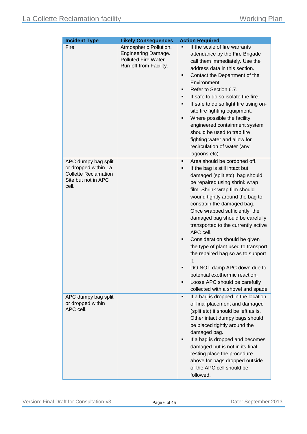| <b>Incident Type</b>                                                                                       | <b>Likely Consequences</b>                                                                            | <b>Action Required</b>                                                                                                                                                                                                                                                                                                                                                                                                                                                                                                                                                                                                                  |
|------------------------------------------------------------------------------------------------------------|-------------------------------------------------------------------------------------------------------|-----------------------------------------------------------------------------------------------------------------------------------------------------------------------------------------------------------------------------------------------------------------------------------------------------------------------------------------------------------------------------------------------------------------------------------------------------------------------------------------------------------------------------------------------------------------------------------------------------------------------------------------|
| Fire                                                                                                       | Atmospheric Pollution.<br>Engineering Damage.<br><b>Polluted Fire Water</b><br>Run-off from Facility. | If the scale of fire warrants<br>attendance by the Fire Brigade<br>call them immediately. Use the<br>address data in this section.<br>Contact the Department of the<br>٠<br>Environment.<br>Refer to Section 6.7.<br>Ξ<br>If safe to do so isolate the fire.<br>If safe to do so fight fire using on-<br>٠<br>site fire fighting equipment.<br>Where possible the facility<br>engineered containment system<br>should be used to trap fire<br>fighting water and allow for<br>recirculation of water (any<br>lagoons etc).                                                                                                              |
| APC dumpy bag split<br>or dropped within La<br><b>Collette Reclamation</b><br>Site but not in APC<br>cell. |                                                                                                       | Area should be cordoned off.<br>п<br>If the bag is still intact but<br>Ξ<br>damaged (split etc), bag should<br>be repaired using shrink wrap<br>film. Shrink wrap film should<br>wound tightly around the bag to<br>constrain the damaged bag.<br>Once wrapped sufficiently, the<br>damaged bag should be carefully<br>transported to the currently active<br>APC cell.<br>Consideration should be given<br>Ξ<br>the type of plant used to transport<br>the repaired bag so as to support<br>it.<br>DO NOT damp APC down due to<br>potential exothermic reaction.<br>Loose APC should be carefully<br>collected with a shovel and spade |
| APC dumpy bag split<br>or dropped within<br>APC cell.                                                      |                                                                                                       | If a bag is dropped in the location<br>٠<br>of final placement and damaged<br>(split etc) it should be left as is.<br>Other intact dumpy bags should<br>be placed tightly around the<br>damaged bag.<br>If a bag is dropped and becomes<br>damaged but is not in its final<br>resting place the procedure<br>above for bags dropped outside<br>of the APC cell should be<br>followed.                                                                                                                                                                                                                                                   |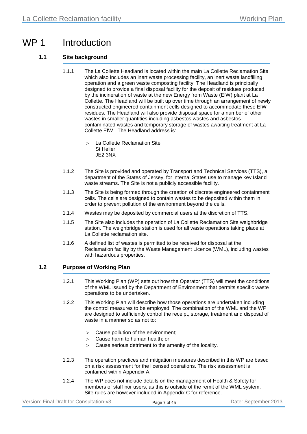## WP 1 Introduction

#### **1.1 Site background**

- 1.1.1 The La Collette Headland is located within the main La Collette Reclamation Site which also includes an inert waste processing facility, an inert waste landfilling operation and a green waste composting facility. The Headland is principally designed to provide a final disposal facility for the deposit of residues produced by the incineration of waste at the new Energy from Waste (EfW) plant at La Collette. The Headland will be built up over time through an arrangement of newly constructed engineered containment cells designed to accommodate these EfW residues. The Headland will also provide disposal space for a number of other wastes in smaller quantities including asbestos wastes and asbestos contaminated wastes and temporary storage of wastes awaiting treatment at La Collette EfW. The Headland address is:
	- La Collette Reclamation Site St Helier JE2 3NX
- 1.1.2 The Site is provided and operated by Transport and Technical Services (TTS), a department of the States of Jersey, for internal States use to manage key Island waste streams. The Site is not a publicly accessible facility.
- 1.1.3 The Site is being formed through the creation of discrete engineered containment cells. The cells are designed to contain wastes to be deposited within them in order to prevent pollution of the environment beyond the cells.
- 1.1.4 Wastes may be deposited by commercial users at the discretion of TTS.
- 1.1.5 The Site also includes the operation of La Collette Reclamation Site weighbridge station. The weighbridge station is used for all waste operations taking place at La Collette reclamation site.
- 1.1.6 A defined list of wastes is permitted to be received for disposal at the Reclamation facility by the Waste Management Licence (WML), including wastes with hazardous properties.

#### **1.2 Purpose of Working Plan**

- 1.2.1 This Working Plan (WP) sets out how the Operator (TTS) will meet the conditions of the WML issued by the Department of Environment that permits specific waste operations to be undertaken.
- 1.2.2 This Working Plan will describe how those operations are undertaken including the control measures to be employed. The combination of the WML and the WP are designed to sufficiently control the receipt, storage, treatment and disposal of waste in a manner so as not to:
	- > Cause pollution of the environment;
	- > Cause harm to human health; or
	- > Cause serious detriment to the amenity of the locality.
- 1.2.3 The operation practices and mitigation measures described in this WP are based on a risk assessment for the licensed operations. The risk assessment is contained within [Appendix A.](#page-31-0)
- 1.2.4 The WP does not include details on the management of Health & Safety for members of staff nor users, as this is outside of the remit of the WML system. Site rules are however included in Appendix C for reference.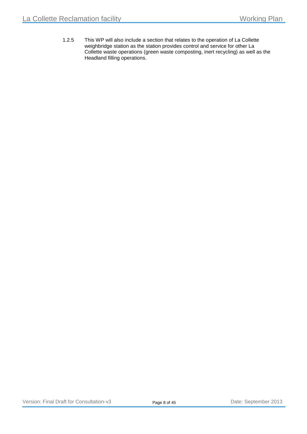1.2.5 This WP will also include a section that relates to the operation of La Collette weighbridge station as the station provides control and service for other La Collette waste operations (green waste composting, inert recycling) as well as the Headland filling operations.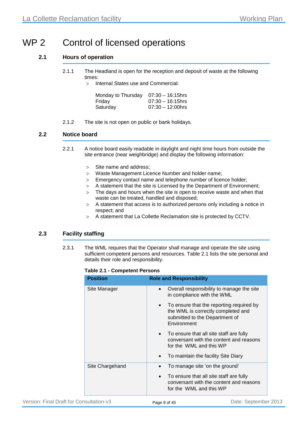# WP 2 Control of licensed operations

#### **2.1 Hours of operation**

2.1.1 The Headland is open for the reception and deposit of waste at the following times:

> Internal States use and Commercial:

| Monday to Thursday | $07:30 - 16:15$ hrs |
|--------------------|---------------------|
| Friday             | $07:30 - 16:15$ hrs |
| Saturday           | $07:30 - 12:00$ hrs |

2.1.2 The site is not open on public or bank holidays.

#### **2.2 Notice board**

- 2.2.1 A notice board easily readable in daylight and night time hours from outside the site entrance (near weighbridge) and display the following information:
	- > Site name and address;
	- > Waste Management Licence Number and holder name;
	- > Emergency contact name and telephone number of licence holder;
	- > A statement that the site is Licensed by the Department of Environment;
	- $>$  The days and hours when the site is open to receive waste and when that waste can be treated, handled and disposed;
	- > A statement that access is to authorized persons only including a notice in respect; and
	- > A statement that La Collette Reclamation site is protected by CCTV.

#### **2.3 Facility staffing**

<span id="page-9-0"></span>2.3.1 The WML requires that the Operator shall manage and operate the site using sufficient competent persons and resources. [Table 2.1](#page-9-0) lists the site personal and details their role and responsibility.

#### **Table 2.1 - Competent Persons**

| <b>Position</b> | <b>Role and Responsibility</b>                                                                                                               |
|-----------------|----------------------------------------------------------------------------------------------------------------------------------------------|
| Site Manager    | Overall responsibility to manage the site<br>$\bullet$<br>in compliance with the WML                                                         |
|                 | To ensure that the reporting required by<br>$\bullet$<br>the WML is correctly completed and<br>submitted to the Department of<br>Environment |
|                 | To ensure that all site staff are fully<br>$\bullet$<br>conversant with the content and reasons<br>for the WML and this WP                   |
|                 | To maintain the facility Site Diary<br>$\bullet$                                                                                             |
| Site Chargehand | To manage site 'on the ground'<br>$\bullet$                                                                                                  |
|                 | To ensure that all site staff are fully<br>conversant with the content and reasons<br>for the WML and this WP                                |
|                 |                                                                                                                                              |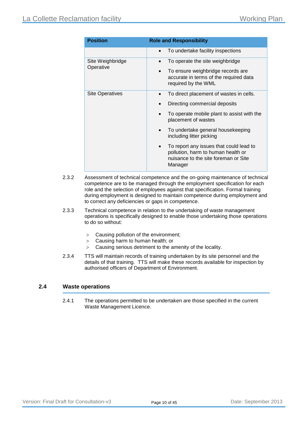| <b>Position</b>               | <b>Role and Responsibility</b>                                                                                                                |
|-------------------------------|-----------------------------------------------------------------------------------------------------------------------------------------------|
|                               | To undertake facility inspections<br>$\bullet$                                                                                                |
| Site Weighbridge<br>Operative | To operate the site weighbridge<br>$\bullet$                                                                                                  |
|                               | To ensure weighbridge records are<br>accurate in terms of the required data<br>required by the WML                                            |
| <b>Site Operatives</b>        | To direct placement of wastes in cells.                                                                                                       |
|                               | Directing commercial deposits                                                                                                                 |
|                               | To operate mobile plant to assist with the<br>placement of wastes                                                                             |
|                               | To undertake general housekeeping<br>$\bullet$<br>including litter picking                                                                    |
|                               | To report any issues that could lead to<br>$\bullet$<br>pollution, harm to human health or<br>nuisance to the site foreman or Site<br>Manager |

- 2.3.2 Assessment of technical competence and the on-going maintenance of technical competence are to be managed through the employment specification for each role and the selection of employees against that specification. Formal training during employment is designed to maintain competence during employment and to correct any deficiencies or gaps in competence.
- 2.3.3 Technical competence in relation to the undertaking of waste management operations is specifically designed to enable those undertaking those operations to do so without:
	- > Causing pollution of the environment;
	- > Causing harm to human health; or
	- > Causing serious detriment to the amenity of the locality.
- 2.3.4 TTS will maintain records of training undertaken by its site personnel and the details of that training. TTS will make these records available for inspection by authorised officers of Department of Environment.

#### **2.4 Waste operations**

2.4.1 The operations permitted to be undertaken are those specified in the current Waste Management Licence.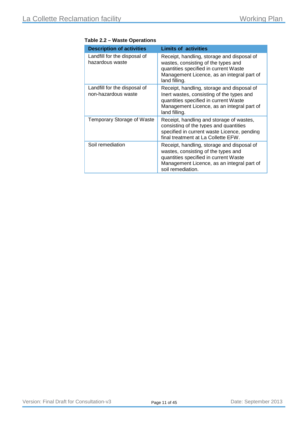| <b>Description of activities</b>                    | <b>Limits of activities</b>                                                                                                                                                                     |
|-----------------------------------------------------|-------------------------------------------------------------------------------------------------------------------------------------------------------------------------------------------------|
| Landfill for the disposal of<br>hazardous waste     | Receipt, handling, storage and disposal of<br>wastes, consisting of the types and<br>quantities specified in current Waste<br>Management Licence, as an integral part of<br>land filling.       |
| Landfill for the disposal of<br>non-hazardous waste | Receipt, handling, storage and disposal of<br>Inert wastes, consisting of the types and<br>quantities specified in current Waste<br>Management Licence, as an integral part of<br>land filling. |
| <b>Temporary Storage of Waste</b>                   | Receipt, handling and storage of wastes,<br>consisting of the types and quantities<br>specified in current waste Licence, pending<br>final treatment at La Collette EFW.                        |
| Soil remediation                                    | Receipt, handling, storage and disposal of<br>wastes, consisting of the types and<br>quantities specified in current Waste<br>Management Licence, as an integral part of<br>soil remediation.   |

#### **Table 2.2 – Waste Operations**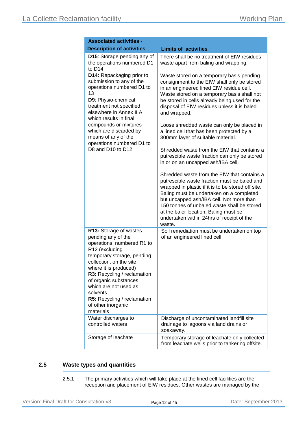| <b>Associated activities -</b>                                                                                                                                                                                                                                             |                                                                                                                                                                                                                                                                                                                                                                                          |
|----------------------------------------------------------------------------------------------------------------------------------------------------------------------------------------------------------------------------------------------------------------------------|------------------------------------------------------------------------------------------------------------------------------------------------------------------------------------------------------------------------------------------------------------------------------------------------------------------------------------------------------------------------------------------|
| <b>Description of activities</b>                                                                                                                                                                                                                                           | <b>Limits of activities</b>                                                                                                                                                                                                                                                                                                                                                              |
| D15: Storage pending any of<br>the operations numbered D1<br>to D <sub>14</sub>                                                                                                                                                                                            | There shall be no treatment of EfW residues<br>waste apart from baling and wrapping.                                                                                                                                                                                                                                                                                                     |
| D14: Repackaging prior to<br>submission to any of the<br>operations numbered D1 to<br>13<br>D9: Physio-chemical<br>treatment not specified<br>elsewhere in Annex II A<br>which results in final                                                                            | Waste stored on a temporary basis pending<br>consignment to the EfW shall only be stored<br>in an engineered lined EfW residue cell.<br>Waste stored on a temporary basis shall not<br>be stored in cells already being used for the<br>disposal of EfW residues unless it is baled<br>and wrapped.                                                                                      |
| compounds or mixtures<br>which are discarded by<br>means of any of the<br>operations numbered D1 to                                                                                                                                                                        | Loose shredded waste can only be placed in<br>a lined cell that has been protected by a<br>300mm layer of suitable material.                                                                                                                                                                                                                                                             |
| D8 and D10 to D12                                                                                                                                                                                                                                                          | Shredded waste from the EfW that contains a<br>putrescible waste fraction can only be stored<br>in or on an uncapped ash/IBA cell.                                                                                                                                                                                                                                                       |
|                                                                                                                                                                                                                                                                            | Shredded waste from the EfW that contains a<br>putrescible waste fraction must be baled and<br>wrapped in plastic if it is to be stored off site.<br>Baling must be undertaken on a completed<br>but uncapped ash/IBA cell. Not more than<br>150 tonnes of unbaled waste shall be stored<br>at the baler location. Baling must be<br>undertaken within 24hrs of receipt of the<br>waste. |
| R13: Storage of wastes<br>pending any of the<br>operations numbered R1 to<br>R12 (excluding<br>temporary storage, pending<br>collection, on the site<br>where it is produced)<br>R3: Recycling / reclamation<br>of organic substances<br>which are not used as<br>solvents | Soil remediation must be undertaken on top<br>of an engineered lined cell.                                                                                                                                                                                                                                                                                                               |
| R5: Recycling / reclamation<br>of other inorganic<br>materials                                                                                                                                                                                                             |                                                                                                                                                                                                                                                                                                                                                                                          |
| Water discharges to<br>controlled waters                                                                                                                                                                                                                                   | Discharge of uncontaminated landfill site<br>drainage to lagoons via land drains or<br>soakaway.                                                                                                                                                                                                                                                                                         |
| Storage of leachate                                                                                                                                                                                                                                                        | Temporary storage of leachate only collected<br>from leachate wells prior to tankering offsite.                                                                                                                                                                                                                                                                                          |

#### **2.5 Waste types and quantities**

2.5.1 The primary activities which will take place at the lined cell facilities are the reception and placement of EfW residues. Other wastes are managed by the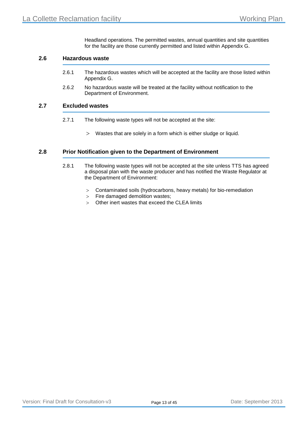Headland operations. The permitted wastes, annual quantities and site quantities for the facility are those currently permitted and listed within [Appendix G.](#page-42-0)

#### **2.6 Hazardous waste**

- 2.6.1 The hazardous wastes which will be accepted at the facility are those listed within [Appendix G.](#page-42-0)
- 2.6.2 No hazardous waste will be treated at the facility without notification to the Department of Environment.

#### **2.7 Excluded wastes**

- 2.7.1 The following waste types will not be accepted at the site:
	- > Wastes that are solely in a form which is either sludge or liquid.

#### **2.8 Prior Notification given to the Department of Environment**

- 2.8.1 The following waste types will not be accepted at the site unless TTS has agreed a disposal plan with the waste producer and has notified the Waste Regulator at the Department of Environment:
	- > Contaminated soils (hydrocarbons, heavy metals) for bio-remediation
	- > Fire damaged demolition wastes;
	- > Other inert wastes that exceed the CLEA limits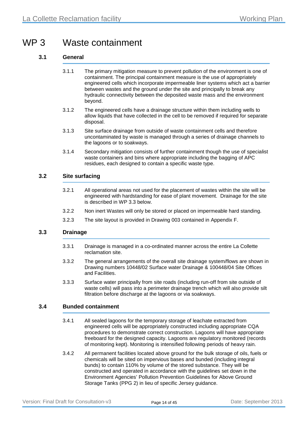## WP 3 Waste containment

#### **3.1 General**

- 3.1.1 The primary mitigation measure to prevent pollution of the environment is one of containment. The principal containment measure is the use of appropriately engineered cells which incorporate impermeable liner systems which act a barrier between wastes and the ground under the site and principally to break any hydraulic connectivity between the deposited waste mass and the environment beyond.
- 3.1.2 The engineered cells have a drainage structure within them including wells to allow liquids that have collected in the cell to be removed if required for separate disposal.
- 3.1.3 Site surface drainage from outside of waste containment cells and therefore uncontaminated by waste is managed through a series of drainage channels to the lagoons or to soakways.
- 3.1.4 Secondary mitigation consists of further containment though the use of specialist waste containers and bins where appropriate including the bagging of APC residues, each designed to contain a specific waste type.

#### **3.2 Site surfacing**

- 3.2.1 All operational areas not used for the placement of wastes within the site will be engineered with hardstanding for ease of plant movement. Drainage for the site is described in WP [3.3](#page-14-0) below.
- 3.2.2 Non inert Wastes will only be stored or placed on impermeable hard standing.
- 3.2.3 The site layout is provided in Drawing 003 contained in [Appendix F.](#page-41-0)

#### <span id="page-14-0"></span>**3.3 Drainage**

- 3.3.1 Drainage is managed in a co-ordinated manner across the entire La Collette reclamation site.
- 3.3.2 The general arrangements of the overall site drainage system/flows are shown in Drawing numbers 10448/02 Surface water Drainage & 100448/04 Site Offices and Facilities.
- 3.3.3 Surface water principally from site roads (including run-off from site outside of waste cells) will pass into a perimeter drainage trench which will also provide silt filtration before discharge at the lagoons or via soakways.

#### **3.4 Bunded containment**

- 3.4.1 All sealed lagoons for the temporary storage of leachate extracted from engineered cells will be appropriately constructed including appropriate CQA procedures to demonstrate correct construction. Lagoons will have appropriate freeboard for the designed capacity. Lagoons are regulatory monitored (records of monitoring kept). Monitoring is intensified following periods of heavy rain.
- 3.4.2 All permanent facilities located above ground for the bulk storage of oils, fuels or chemicals will be sited on impervious bases and bunded (including integral bunds) to contain 110% by volume of the stored substance. They will be constructed and operated in accordance with the guidelines set down in the Environment Agencies' Pollution Prevention Guidelines for Above Ground Storage Tanks (PPG 2) in lieu of specific Jersey guidance.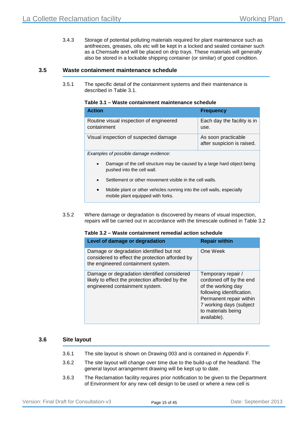3.4.3 Storage of potential polluting materials required for plant maintenance such as antifreezes, greases, oils etc will be kept in a locked and sealed container such as a Chemsafe and will be placed on drip trays. These materials will generally also be stored in a lockable shipping container (or similar) of good condition.

#### <span id="page-15-0"></span>**3.5 Waste containment maintenance schedule**

<span id="page-15-1"></span>3.5.1 The specific detail of the containment systems and their maintenance is described in [Table 3.1.](#page-15-1)

| Table 3.1 – Waste containment maintenance schedule |  |  |  |
|----------------------------------------------------|--|--|--|
|----------------------------------------------------|--|--|--|

| <b>Action</b>                                          | <b>Frequency</b>                                  |
|--------------------------------------------------------|---------------------------------------------------|
| Routine visual inspection of engineered<br>containment | Each day the facility is in<br>use.               |
| Visual inspection of suspected damage                  | As soon practicable<br>after suspicion is raised. |
| Examples of possible damage evidence:                  |                                                   |

- Damage of the cell structure may be caused by a large hard object being pushed into the cell wall.
- Settlement or other movement visible in the cell walls.
- Mobile plant or other vehicles running into the cell walls, especially mobile plant equipped with forks.
- <span id="page-15-2"></span>3.5.2 Where damage or degradation is discovered by means of visual inspection, repairs will be carried out in accordance with the timescale outlined in [Table 3.2](#page-15-2)

#### **Table 3.2 – Waste containment remedial action schedule**

| Level of damage or degradation                                                                                                    | <b>Repair within</b>                                                                                                                                                                        |
|-----------------------------------------------------------------------------------------------------------------------------------|---------------------------------------------------------------------------------------------------------------------------------------------------------------------------------------------|
| Damage or degradation identified but not<br>considered to effect the protection afforded by<br>the engineered containment system. | One Week                                                                                                                                                                                    |
| Damage or degradation identified considered<br>likely to effect the protection afforded by the<br>engineered containment system.  | Temporary repair /<br>cordoned off by the end<br>of the working day<br>following identification.<br>Permanent repair within<br>7 working days (subject<br>to materials being<br>available). |

#### **3.6 Site layout**

- 3.6.1 The site layout is shown on Drawing 003 and is contained in [Appendix F.](#page-41-0)
- 3.6.2 The site layout will change over time due to the build-up of the headland. The general layout arrangement drawing will be kept up to date.
- 3.6.3 The Reclamation facility requires prior notification to be given to the Department of Environment for any new cell design to be used or where a new cell is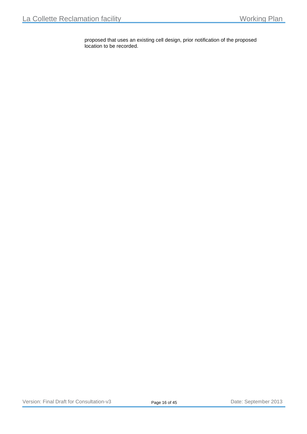proposed that uses an existing cell design, prior notification of the proposed location to be recorded.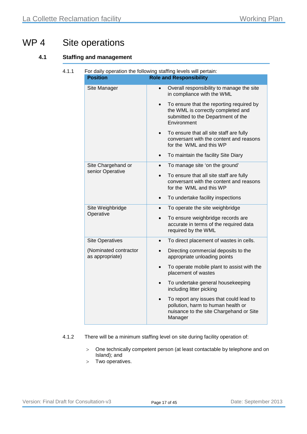# WP 4 Site operations

#### **4.1 Staffing and management**

| <b>Position</b>                          | For daily operation the following staffing levels will pertain:<br><b>Role and Responsibility</b>                                                |
|------------------------------------------|--------------------------------------------------------------------------------------------------------------------------------------------------|
| Site Manager                             | Overall responsibility to manage the site<br>$\bullet$<br>in compliance with the WML                                                             |
|                                          | To ensure that the reporting required by<br>$\bullet$<br>the WML is correctly completed and<br>submitted to the Department of the<br>Environment |
|                                          | To ensure that all site staff are fully<br>$\bullet$<br>conversant with the content and reasons<br>for the WML and this WP                       |
|                                          | To maintain the facility Site Diary<br>$\bullet$                                                                                                 |
| Site Chargehand or                       | To manage site 'on the ground'<br>$\bullet$                                                                                                      |
| senior Operative                         | To ensure that all site staff are fully<br>conversant with the content and reasons<br>for the WML and this WP                                    |
|                                          | To undertake facility inspections<br>$\bullet$                                                                                                   |
| Site Weighbridge                         | To operate the site weighbridge                                                                                                                  |
| Operative                                | To ensure weighbridge records are<br>accurate in terms of the required data<br>required by the WML                                               |
| <b>Site Operatives</b>                   | To direct placement of wastes in cells.<br>$\bullet$                                                                                             |
| (Nominated contractor<br>as appropriate) | Directing commercial deposits to the<br>appropriate unloading points                                                                             |
|                                          | To operate mobile plant to assist with the<br>$\bullet$<br>placement of wastes                                                                   |
|                                          | To undertake general housekeeping<br>$\bullet$<br>including litter picking                                                                       |
|                                          | To report any issues that could lead to<br>$\bullet$<br>pollution, harm to human health or<br>nuisance to the site Chargehand or Site<br>Manager |

- 4.1.2 There will be a minimum staffing level on site during facility operation of:
	- > One technically competent person (at least contactable by telephone and on Island); and
	- > Two operatives.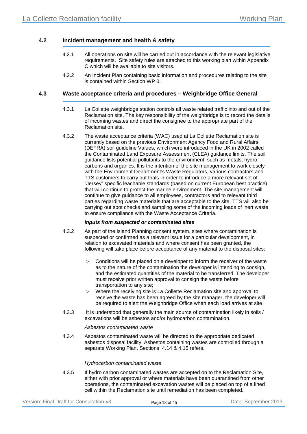#### **4.2 Incident management and health & safety**

- 4.2.1 All operations on site will be carried out in accordance with the relevant legislative requirements. Site safety rules are attached to this working plan within Appendix C which will be available to site visitors.
- 4.2.2 An Incident Plan containing basic information and procedures relating to the site is contained within Section [WP 0.](#page-3-0)

#### **4.3 Waste acceptance criteria and procedures – Weighbridge Office General**

- 4.3.1 La Collette weighbridge station controls all waste related traffic into and out of the Reclamation site. The key responsibility of the weighbridge is to record the details of incoming wastes and direct the consignee to the appropriate part of the Reclamation site.
- 4.3.2 The waste acceptance criteria (WAC) used at La Collette Reclamation site is currently based on the previous Environment Agency Food and Rural Affairs (DEFRA) soil guideline Values, which were introduced in the UK in 2002 called the Contaminated Land Exposure Assessment (CLEA) guidance limits. The soil guidance lists potential pollutants to the environment, such as metals, hydrocarbons and organics. It is the intention of the site management to work closely with the Environment Department's Waste Regulators, various contractors and TTS customers to carry out trials in order to introduce a more relevant set of "Jersey" specific leachable standards (based on current European best practice) that will continue to protect the marine environment. The site management will continue to give guidance to all employees, contractors and to relevant third parties regarding waste materials that are acceptable to the site. TTS will also be carrying out spot checks and sampling some of the incoming loads of inert waste to ensure compliance with the Waste Acceptance Criteria.

#### *Inputs from suspected or contaminated sites*

- 4.3.2 As part of the Island Planning consent system, sites where contamination is suspected or confirmed as a relevant issue for a particular development, in relation to excavated materials and where consent has been granted, the following will take place before acceptance of any material to the disposal sites:
	- > Conditions will be placed on a developer to inform the receiver of the waste as to the nature of the contamination the developer is intending to consign, and the estimated quantities of the material to be transferred. The developer must receive prior written approval to consign the waste before transportation to any site;
	- Where the receiving site is La Collette Reclamation site and approval to receive the waste has been agreed by the site manager, the developer will be required to alert the Weighbridge Office when each load arrives at site
- 4.3.3 It is understood that generally the main source of contamination likely in soils / excavations will be asbestos and/or hydrocarbon contamination.

#### *Asbestos contaminated waste*

4.3.4 Asbestos contaminated waste will be directed to the appropriate dedicated asbestos disposal facility. Asbestos containing wastes are controlled through a separate Working Plan. Sections [4.14](#page-24-0) & [4.15](#page-25-0) refers.

#### *Hydrocarbon contaminated waste*

4.3.5 If hydro carbon contaminated wastes are accepted on to the Reclamation Site, either with prior approval or where materials have been quarantined from other operations, the contaminated excavation wastes will be placed on top of a lined cell within the Reclamation site until remediation has been completed.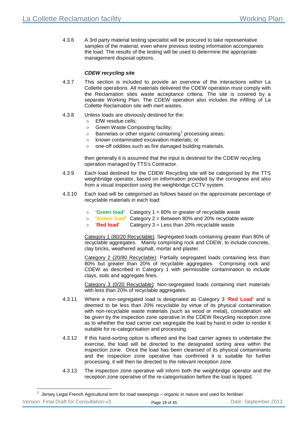4.3.6 A 3rd party material testing specialist will be procured to take representative samples of the material, even where previous testing information accompanies the load. The results of the testing will be used to determine the appropriate management disposal options.

#### *CDEW recycling site*

- 4.3.7 This section is included to provide an overview of the interactions within La Collette operations. All materials delivered the CDEW operation must comply with the Reclamation sites waste acceptance criteria. The site is covered by a separate Working Plan. The CDEW operation also includes the infilling of La Collette Reclamation site with inert wastes.
- 4.3.8 Unless loads are obviously destined for the:
	- > EfW residue cells;
	- > Green Waste Composting facility;
	- $>$  Bannelais or other organic containing<sup>[1](#page-19-0)</sup> processing areas;
	- > known contaminated excavation materials; or
	- > one-off oddities such as fire damaged building materials.

then generally it is assumed that the input is destined for the CDEW recycling operation managed by TTS's Contractor.

- 4.3.9 Each load destined for the CDEW Recycling site will be categorised by the TTS weighbridge operator, based on information provided by the consignee and also from a visual inspection using the weighbridge CCTV system.
- 4.3.10 Each load will be categorised as follows based on the approximate percentage of recyclable materials in each load:
	- > '**Green load**' Category 1 = 80% or greater of recyclable waste
	- > '**Amber load**' Category 2 = Between 80% and 20% recyclable waste
	- > '**Red load**' Category 3 = Less than 20% recyclable waste

Category 1 (80/20 Recyclable): Segregated loads containing greater than 80% of recyclable aggregates. Mainly comprising rock and CDEW, to include concrete, clay bricks, weathered asphalt, mortar and plaster.

Category 2 (20/80 Recyclable): Partially segregated loads containing less than 80% but greater than 20% of recyclable aggregates. Comprising rock and CDEW as described in Category 1 with permissible contamination to include clays, soils and aggregate fines.

Category 3 (0/20 Recyclable): Non-segregated loads containing inert materials with less than 20% of recyclable aggregates.

- 4.3.11 Where a non-segregated load is designated as Category 3 **'Red Load'** and is deemed to be less than 20% recyclable by virtue of its physical contamination with non-recyclable waste materials (such as wood or metal), consideration will be given by the inspection zone operative in the CDEW Recycling reception zone as to whether the load carrier can segregate the load by hand in order to render it suitable for re-categorisation and processing.
- 4.3.12 If this hand-sorting option is offered and the load carrier agrees to undertake the exercise, the load will be directed to the designated sorting area within the inspection zone. Once the load has been cleansed of its physical contaminants and the inspection zone operative has confirmed it is suitable for further processing, it will then be directed to the relevant reception zone.
- 4.3.13 The inspection zone operative will inform both the weighbridge operator and the reception zone operative of the re-categorisation before the load is tipped.

-

<span id="page-19-0"></span>

| Version: Final Draft for Consultation-v3 | Page 19 of 45 | Date: September 2013 |
|------------------------------------------|---------------|----------------------|
|                                          |               |                      |

<sup>&</sup>lt;sup>1</sup> Jersey Legal French Agricultural term for road sweepings – organic in nature and used for fertiliser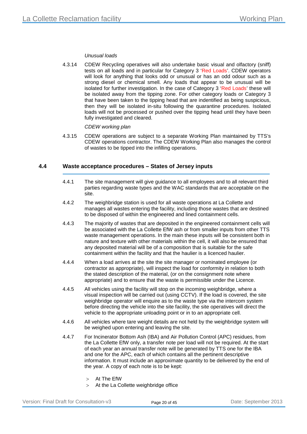#### *Unusual loads*

4.3.14 CDEW Recycling operatives will also undertake basic visual and olfactory (sniff) tests on all loads and in particular for Category 3 'Red Loads'. CDEW operators will look for anything that looks odd or unusual or has an odd odour such as a strong diesel or chemical smell. Any loads that appear to be unusual will be isolated for further investigation. In the case of Category 3 'Red Loads' these will be isolated away from the tipping zone. For other category loads or Category 3 that have been taken to the tipping head that are indentified as being suspicious, then they will be isolated in-situ following the quarantine procedures. Isolated loads will not be processed or pushed over the tipping head until they have been fully investigated and cleared.

#### *CDEW working plan*

4.3.15 CDEW operations are subject to a separate Working Plan maintained by TTS's CDEW operations contractor. The CDEW Working Plan also manages the control of wastes to be tipped into the infilling operations.

#### **4.4 Waste acceptance procedures – States of Jersey inputs**

- 4.4.1 The site management will give guidance to all employees and to all relevant third parties regarding waste types and the WAC standards that are acceptable on the site.
- 4.4.2 The weighbridge station is used for all waste operations at La Collette and manages all wastes entering the facility, including those wastes that are destined to be disposed of within the engineered and lined containment cells.
- 4.4.3 The majority of wastes that are deposited in the engineered containment cells will be associated with the La Collette EfW ash or from smaller inputs from other TTS waste management operations. In the main these inputs will be consistent both in nature and texture with other materials within the cell, it will also be ensured that any deposited material will be of a composition that is suitable for the safe containment within the facility and that the haulier is a licenced haulier.
- 4.4.4 When a load arrives at the site the site manager or nominated employee (or contractor as appropriate), will inspect the load for conformity in relation to both the stated description of the material, (or on the consignment note where appropriate) and to ensure that the waste is permissible under the Licence.
- 4.4.5 All vehicles using the facility will stop on the incoming weighbridge, where a visual inspection will be carried out (using CCTV). If the load is covered, the site weighbridge operator will enquire as to the waste type via the intercom system before directing the vehicle into the site facility, the site operatives will direct the vehicle to the appropriate unloading point or in to an appropriate cell.
- 4.4.6 All vehicles where tare weight details are not held by the weighbridge system will be weighed upon entering and leaving the site.
- 4.4.7 For Incinerator Bottom Ash (IBA) and Air Pollution Control (APC) residues, from the La Collette EfW only, a transfer note per load will not be required. At the start of each year an annual transfer note will be generated by TTS one for the IBA and one for the APC, each of which contains all the pertinent descriptive information. It must include an approximate quantity to be delivered by the end of the year. A copy of each note is to be kept:
	- > At The EfW
	- > At the La Collette weighbridge office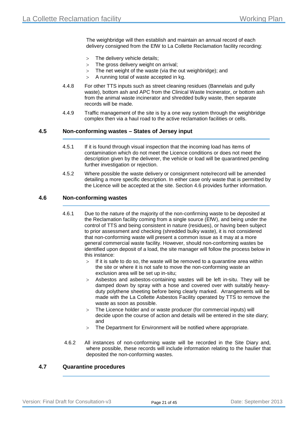The weighbridge will then establish and maintain an annual record of each delivery consigned from the EfW to La Collette Reclamation facility recording:

- > The delivery vehicle details;
- > The gross delivery weight on arrival;
- > The net weight of the waste (via the out weighbridge); and
- > A running total of waste accepted in kg.
- 4.4.8 For other TTS inputs such as street cleaning residues (Bannelais and gully waste), bottom ash and APC from the Clinical Waste Incinerator, or bottom ash from the animal waste incinerator and shredded bulky waste, then separate records will be made.
- 4.4.9 Traffic management of the site is by a one way system through the weighbridge complex then via a haul road to the active reclamation facilities or cells.

#### **4.5 Non-conforming wastes – States of Jersey input**

- 4.5.1 If it is found through visual inspection that the incoming load has items of contamination which do not meet the Licence conditions or does not meet the description given by the deliverer, the vehicle or load will be quarantined pending further investigation or rejection.
- 4.5.2 Where possible the waste delivery or consignment note/record will be amended detailing a more specific description. In either case only waste that is permitted by the Licence will be accepted at the site. Section [4.6](#page-21-0) provides further information.

#### <span id="page-21-0"></span>**4.6 Non-conforming wastes**

- 4.6.1 Due to the nature of the majority of the non-confirming waste to be deposited at the Reclamation facility coming from a single source (EfW), and being under the control of TTS and being consistent in nature (residues), or having been subject to prior assessment and checking (shredded bulky waste), it is not considered that non-conforming waste will present a common issue as it may at a more general commercial waste facility. However, should non-conforming wastes be identified upon deposit of a load, the site manager will follow the process below in this instance:
	- $>$  If it is safe to do so, the waste will be removed to a quarantine area within the site or where it is not safe to move the non-conforming waste an exclusion area will be set up in-situ;
	- > Asbestos and asbestos-containing wastes will be left in-situ. They will be damped down by spray with a hose and covered over with suitably heavyduty polythene sheeting before being clearly marked. Arrangements will be made with the La Collette Asbestos Facility operated by TTS to remove the waste as soon as possible.
	- > The Licence holder and or waste producer (for commercial inputs) will decide upon the course of action and details will be entered in the site diary; and
	- > The Department for Environment will be notified where appropriate.
- 4.6.2 All instances of non-conforming waste will be recorded in the Site Diary and, where possible, these records will include information relating to the haulier that deposited the non-conforming wastes.

#### **4.7 Quarantine procedures**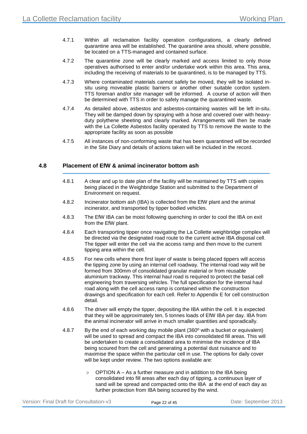- 4.7.1 Within all reclamation facility operation configurations, a clearly defined quarantine area will be established. The quarantine area should, where possible, be located on a TTS-managed and contained surface.
- 4.7.2 The quarantine zone will be clearly marked and access limited to only those operatives authorised to enter and/or undertake work within this area. This area, including the receiving of materials to be quarantined, is to be managed by TTS.
- 4.7.3 Where contaminated materials cannot safely be moved, they will be isolated insitu using moveable plastic barriers or another other suitable cordon system. TTS foreman and/or site manager will be informed. A course of action will then be determined with TTS in order to safely manage the quarantined waste.
- 4.7.4 As detailed above, asbestos and asbestos-containing wastes will be left in-situ. They will be damped down by spraying with a hose and covered over with heavyduty polythene sheeting and clearly marked. Arrangements will then be made with the La Collette Asbestos facility operated by TTS to remove the waste to the appropriate facility as soon as possible
- 4.7.5 All instances of non-conforming waste that has been quarantined will be recorded in the Site Diary and details of actions taken will be included in the record.

#### **4.8 Placement of EfW & animal incinerator bottom ash**

- 4.8.1 A clear and up to date plan of the facility will be maintained by TTS with copies being placed in the Weighbridge Station and submitted to the Department of Environment on request.
- 4.8.2 Incinerator bottom ash (IBA) is collected from the EfW plant and the animal incinerator, and transported by tipper bodied vehicles.
- 4.8.3 The EfW IBA can be moist following quenching in order to cool the IBA on exit from the EfW plant.
- 4.8.4 Each transporting tipper once navigating the La Collette weighbridge complex will be directed via the designated road route to the current active IBA disposal cell. The tipper will enter the cell via the access ramp and then move to the current tipping area within the cell.
- 4.8.5 For new cells where there first layer of waste is being placed tippers will access the tipping zone by using an internal cell roadway. The internal road way will be formed from 300mm of consolidated granular material or from reusable aluminium trackway. This internal haul road is required to protect the basal cell engineering from traversing vehicles. The full specification for the internal haul road along with the cell access ramp is contained within the construction drawings and specification for each cell. Refer to [Appendix E](#page-40-0) for cell construction detail.
- 4.8.6 The driver will empty the tipper, depositing the IBA within the cell. It is expected that they will be approximately ten, 5 tonnes loads of EfW IBA per day. IBA from the animal incinerator will arrive in much smaller quantities and sporadically.
- 4.8.7 By the end of each working day mobile plant (360º with a bucket or equivalent) will be used to spread and compact the IBA into consolidated fill areas. This will be undertaken to create a consolidated area to minimise the incidence of IBA being scoured from the cell and generating a potential dust nuisance and to maximise the space within the particular cell in use. The options for daily cover will be kept under review. The two options available are:
	- $>$  OPTION A As a further measure and in addition to the IBA being consolidated into fill areas after each day of tipping, a continuous layer of sand will be spread and compacted onto the IBA at the end of each day as further protection from IBA being scoured by the wind.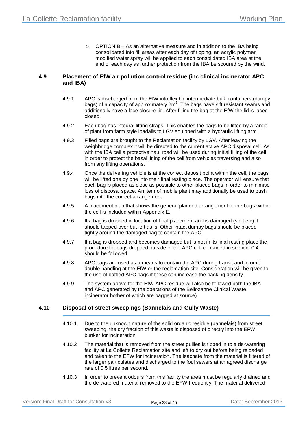$>$  OPTION B – As an alternative measure and in addition to the IBA being consolidated into fill areas after each day of tipping, an acrylic polymer modified water spray will be applied to each consolidated IBA area at the end of each day as further protection from the IBA be scoured by the wind.

#### **4.9 Placement of EfW air pollution control residue (inc clinical incinerator APC and IBA)**

- 4.9.1 APC is discharged from the EfW into flexible intermediate bulk containers (dumpy bags) of a capacity of approximately 2m<sup>3</sup>. The bags have sift resistant seams and additionally have a lace closure lid. After filling the bag at the EfW the lid is laced closed.
- 4.9.2 Each bag has integral lifting straps. This enables the bags to be lifted by a range of plant from farm style loadalls to LGV equipped with a hydraulic lifting arm.
- 4.9.3 Filled bags are brought to the Reclamation facility by LGV. After leaving the weighbridge complex it will be directed to the current active APC disposal cell. As with the IBA cell a protective haul road will be used during initial filling of the cell in order to protect the basal lining of the cell from vehicles traversing and also from any lifting operations.
- 4.9.4 Once the delivering vehicle is at the correct deposit point within the cell, the bags will be lifted one by one into their final resting place. The operator will ensure that each bag is placed as close as possible to other placed bags in order to minimise loss of disposal space. An item of mobile plant may additionally be used to push bags into the correct arrangement.
- 4.9.5 A placement plan that shows the general planned arrangement of the bags within the cell is included within [Appendix E.](#page-40-0)
- 4.9.6 If a bag is dropped in location of final placement and is damaged (split etc) it should tapped over but left as is. Other intact dumpy bags should be placed tightly around the damaged bag to contain the APC.
- 4.9.7 If a bag is dropped and becomes damaged but is not in its final resting place the procedure for bags dropped outside of the APC cell contained in section [0.4](#page-4-0) should be followed.
- 4.9.8 APC bags are used as a means to contain the APC during transit and to omit double handling at the EfW or the reclamation site. Consideration will be given to the use of baffled APC bags if these can increase the packing density.
- 4.9.9 The system above for the EfW APC residue will also be followed both the IBA and APC generated by the operations of the Bellozanne Clinical Waste incinerator bother of which are bagged at source)

#### <span id="page-23-0"></span>**4.10 Disposal of street sweepings (Bannelais and Gully Waste)**

- 4.10.1 Due to the unknown nature of the solid organic residue (bannelais) from street sweeping, the dry fraction of this waste is disposed of directly into the EFW bunker for incineration.
- 4.10.2 The material that is removed from the street gullies is tipped in to a de-watering facility at La Collette Reclamation site and left to dry out before being reloaded and taken to the EFW for incineration. The leachate from the material is filtered of the larger particulates and discharged to the foul sewers at an agreed discharge rate of 0.5 litres per second.
- 4.10.3 In order to prevent odours from this facility the area must be regularly drained and the de-watered material removed to the EFW frequently. The material delivered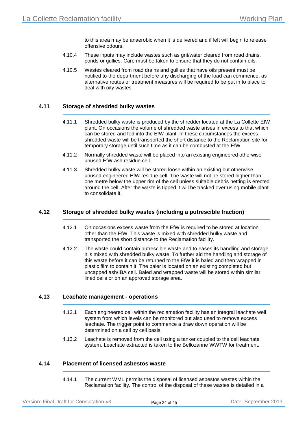to this area may be anaerobic when it is delivered and if left will begin to release offensive odours.

- 4.10.4 These inputs may include wastes such as grit/water cleared from road drains, ponds or gullies. Care must be taken to ensure that they do not contain oils.
- 4.10.5 Wastes cleared from road drains and gullies that have oils present must be notified to the department before any discharging of the load can commence, as alternative routes or treatment measures will be required to be put in to place to deal with oily wastes.

#### **4.11 Storage of shredded bulky wastes**

- 4.11.1 Shredded bulky waste is produced by the shredder located at the La Collette EfW plant. On occasions the volume of shredded waste arises in excess to that which can be stored and fed into the EfW plant. In these circumstances the excess shredded waste will be transported the short distance to the Reclamation site for temporary storage until such time as it can be combusted at the EfW.
- 4.11.2 Normally shredded waste will be placed into an existing engineered otherwise unused EfW ash residue cell.
- 4.11.3 Shredded bulky waste will be stored loose within an existing but otherwise unused engineered EfW residue cell. The waste will not be stored higher than one metre below the upper rim of the cell unless suitable debris netting is erected around the cell. After the waste is tipped it will be tracked over using mobile plant to consolidate it.

#### **4.12 Storage of shredded bulky wastes (including a putrescible fraction)**

- 4.12.1 On occasions excess waste from the EfW is required to be stored at location other than the EfW. This waste is mixed with shredded bulky waste and transported the short distance to the Reclamation facility.
- 4.12.2 The waste could contain putrescible waste and to eases its handling and storage it is mixed with shredded bulky waste. To further aid the handling and storage of this waste before it can be returned to the EfW it is baled and then wrapped in plastic film to contain it. The baler is located on an existing completed but uncapped ash/IBA cell. Baled and wrapped waste will be stored within similar lined cells or on an approved storage area.

#### **4.13 Leachate management - operations**

- 4.13.1 Each engineered cell within the reclamation facility has an integral leachate well system from which levels can be monitored but also used to remove excess leachate. The trigger point to commence a draw down operation will be determined on a cell by cell basis.
- 4.13.2 Leachate is removed from the cell using a tanker coupled to the cell leachate system. Leachate extracted is taken to the Bellozanne WWTW for treatment.

#### <span id="page-24-0"></span>**4.14 Placement of licensed asbestos waste**

4.14.1 The current WML permits the disposal of licensed asbestos wastes within the Reclamation facility. The control of the disposal of these wastes is detailed in a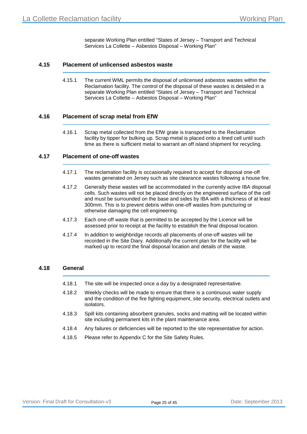separate Working Plan entitled "States of Jersey – Transport and Technical Services La Collette – Asbestos Disposal – Working Plan"

#### <span id="page-25-0"></span>**4.15 Placement of unlicensed asbestos waste**

4.15.1 The current WML permits the disposal of unlicensed asbestos wastes within the Reclamation facility. The control of the disposal of these wastes is detailed in a separate Working Plan entitled "States of Jersey – Transport and Technical Services La Collette – Asbestos Disposal – Working Plan"

#### **4.16 Placement of scrap metal from EfW**

4.16.1 Scrap metal collected from the EfW grate is transported to the Reclamation facility by tipper for bulking up. Scrap metal is placed onto a lined cell until such time as there is sufficient metal to warrant an off island shipment for recycling.

#### **4.17 Placement of one-off wastes**

- 4.17.1 The reclamation facility is occasionally required to accept for disposal one-off wastes generated on Jersey such as site clearance wastes following a house fire.
- 4.17.2 Generally these wastes will be accommodated in the currently active IBA disposal cells. Such wastes will not be placed directly on the engineered surface of the cell and must be surrounded on the base and sides by IBA with a thickness of at least 300mm. This is to prevent debris within one-off wastes from puncturing or otherwise damaging the cell engineering.
- 4.17.3 Each one-off waste that is permitted to be accepted by the Licence will be assessed prior to receipt at the facility to establish the final disposal location.
- 4.17.4 In addition to weighbridge records all placements of one-off wastes will be recorded in the Site Diary. Additionally the current plan for the facility will be marked up to record the final disposal location and details of the waste.

#### **4.18 General**

- 4.18.1 The site will be inspected once a day by a designated representative.
- 4.18.2 Weekly checks will be made to ensure that there is a continuous water supply and the condition of the fire fighting equipment, site security, electrical outlets and isolators.
- 4.18.3 Spill kits containing absorbent granules, socks and matting will be located within site including permanent kits in the plant maintenance area.
- 4.18.4 Any failures or deficiencies will be reported to the site representative for action.
- 4.18.5 Please refer to Appendix C for the Site Safety Rules.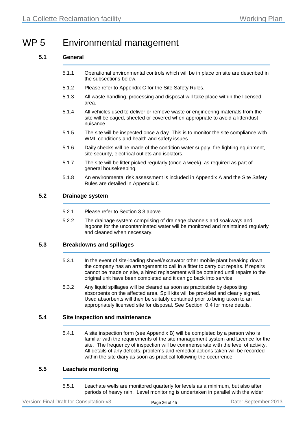# WP 5 Environmental management

#### **5.1 General**

- 5.1.1 Operational environmental controls which will be in place on site are described in the subsections below.
- 5.1.2 Please refer to Appendix C for the Site Safety Rules.
- 5.1.3 All waste handling, processing and disposal will take place within the licensed area.
- 5.1.4 All vehicles used to deliver or remove waste or engineering materials from the site will be caged, sheeted or covered when appropriate to avoid a litter/dust nuisance.
- 5.1.5 The site will be inspected once a day. This is to monitor the site compliance with WML conditions and health and safety issues.
- 5.1.6 Daily checks will be made of the condition water supply, fire fighting equipment, site security, electrical outlets and isolators.
- 5.1.7 The site will be litter picked regularly (once a week), as required as part of general housekeeping.
- 5.1.8 An environmental risk assessment is included in [Appendix A](#page-31-0) and the Site Safety Rules are detailed in Appendix C

#### **5.2 Drainage system**

- 5.2.1 Please refer to Section [3.3](#page-14-0) above.
- 5.2.2 The drainage system comprising of drainage channels and soakways and lagoons for the uncontaminated water will be monitored and maintained regularly and cleaned when necessary.

#### **5.3 Breakdowns and spillages**

- 5.3.1 In the event of site-loading shovel/excavator other mobile plant breaking down, the company has an arrangement to call in a fitter to carry out repairs. If repairs cannot be made on site, a hired replacement will be obtained until repairs to the original unit have been completed and it can go back into service.
- 5.3.2 Any liquid spillages will be cleared as soon as practicable by depositing absorbents on the affected area. Spill kits will be provided and clearly signed. Used absorbents will then be suitably contained prior to being taken to an appropriately licensed site for disposal. See Section [0.4](#page-4-0) for more details.

#### **5.4 Site inspection and maintenance**

5.4.1 A site inspection form (see [Appendix B\)](#page-36-0) will be completed by a person who is familiar with the requirements of the site management system and Licence for the site. The frequency of inspection will be commensurate with the level of activity. All details of any defects, problems and remedial actions taken will be recorded within the site diary as soon as practical following the occurrence.

#### **5.5 Leachate monitoring**

5.5.1 Leachate wells are monitored quarterly for levels as a minimum, but also after periods of heavy rain. Level monitoring is undertaken in parallel with the wider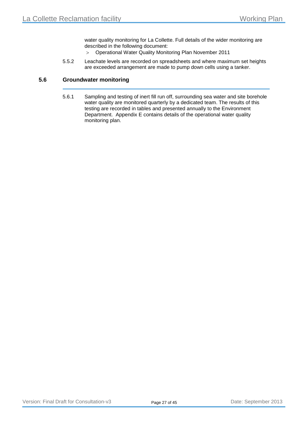water quality monitoring for La Collette. Full details of the wider monitoring are described in the following document:

- > Operational Water Quality Monitoring Plan November 2011
- 5.5.2 Leachate levels are recorded on spreadsheets and where maximum set heights are exceeded arrangement are made to pump down cells using a tanker.

#### **5.6 Groundwater monitoring**

5.6.1 Sampling and testing of inert fill run off, surrounding sea water and site borehole water quality are monitored quarterly by a dedicated team. The results of this testing are recorded in tables and presented annually to the Environment Department. [Appendix E](#page-40-0) contains details of the operational water quality monitoring plan.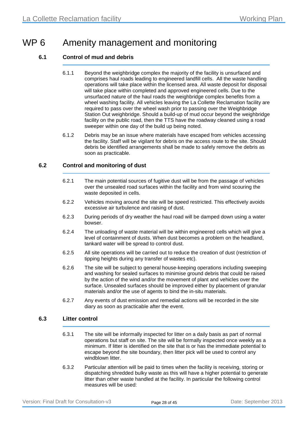### WP 6 Amenity management and monitoring

#### **6.1 Control of mud and debris**

- 6.1.1 Beyond the weighbridge complex the majority of the facility is unsurfaced and comprises haul roads leading to engineered landfill cells. All the waste handling operations will take place within the licensed area. All waste deposit for disposal will take place within completed and approved engineered cells. Due to the unsurfaced nature of the haul roads the weighbridge complex benefits from a wheel washing facility. All vehicles leaving the La Collette Reclamation facility are required to pass over the wheel wash prior to passing over the Weighbridge Station Out weighbridge. Should a build-up of mud occur beyond the weighbridge facility on the public road, then the TTS have the roadway cleaned using a road sweeper within one day of the build up being noted.
- 6.1.2 Debris may be an issue where materials have escaped from vehicles accessing the facility. Staff will be vigilant for debris on the access route to the site. Should debris be identified arrangements shall be made to safely remove the debris as soon as practicable.

#### **6.2 Control and monitoring of dust**

- 6.2.1 The main potential sources of fugitive dust will be from the passage of vehicles over the unsealed road surfaces within the facility and from wind scouring the waste deposited in cells.
- 6.2.2 Vehicles moving around the site will be speed restricted. This effectively avoids excessive air turbulence and raising of dust.
- 6.2.3 During periods of dry weather the haul road will be damped down using a water bowser.
- 6.2.4 The unloading of waste material will be within engineered cells which will give a level of containment of dusts. When dust becomes a problem on the headland, tankard water will be spread to control dust.
- 6.2.5 All site operations will be carried out to reduce the creation of dust (restriction of tipping heights during any transfer of wastes etc).
- 6.2.6 The site will be subject to general house-keeping operations including sweeping and washing for sealed surfaces to minimise ground debris that could be raised by the action of the wind and/or the movement of plant and vehicles over the surface. Unsealed surfaces should be improved either by placement of granular materials and/or the use of agents to bind the in-situ materials.
- 6.2.7 Any events of dust emission and remedial actions will be recorded in the site diary as soon as practicable after the event.

#### **6.3 Litter control**

- 6.3.1 The site will be informally inspected for litter on a daily basis as part of normal operations but staff on site. The site will be formally inspected once weekly as a minimum. If litter is identified on the site that is or has the immediate potential to escape beyond the site boundary, then litter pick will be used to control any windblown litter.
- 6.3.2 Particular attention will be paid to times when the facility is receiving, storing or dispatching shredded bulky waste as this will have a higher potential to generate litter than other waste handled at the facility. In particular the following control measures will be used: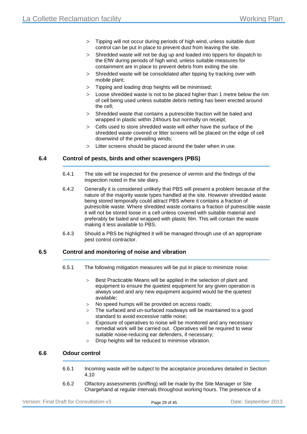- > Tipping will not occur during periods of high wind, unless suitable dust control can be put in place to prevent dust from leaving the site.
- > Shredded waste will not be dug up and loaded into tippers for dispatch to the EfW during periods of high wind, unless suitable measures for containment are in place to prevent debris from exiting the site.
- $>$  Shredded waste will be consolidated after tipping by tracking over with mobile plant;
- > Tipping and loading drop heights will be minimised;
- $>$  Loose shredded waste is not to be placed higher than 1 metre below the rim of cell being used unless suitable debris netting has been erected around the cell;
- > Shredded waste that contains a putrescible fraction will be baled and wrapped in plastic within 24hours but normally on receipt;
- > Cells used to store shredded waste will *either* have the surface of the shredded waste covered or litter screens will be placed on the edge of cell downwind of the prevailing winds;
- > Litter screens should be placed around the baler when in use.

#### **6.4 Control of pests, birds and other scavengers (PBS)**

- 6.4.1 The site will be inspected for the presence of vermin and the findings of the inspection noted in the site diary.
- 6.4.2 Generally it is considered unlikely that PBS will present a problem because of the nature of the majority waste types handled at the site. However shredded waste being stored temporally could attract PBS where it contains a fraction of putrescible waste. Where shredded waste contains a fraction of putrescible waste it will not be stored loose in a cell unless covered with suitable material and preferably be baled and wrapped with plastic film. This will contain the waste making it less available to PBS.
- 6.4.3 Should a PBS be highlighted it will be managed through use of an appropriate pest control contractor.

#### **6.5 Control and monitoring of noise and vibration**

- 6.5.1 The following mitigation measures will be put in place to minimize noise:
	- > Best Practicable Means will be applied in the selection of plant and equipment to ensure the quietest equipment for any given operation is always used and any new equipment acquired would be the quietest available;
	- > No speed humps will be provided on access roads;
	- > The surfaced and un-surfaced roadways will be maintained to a good standard to avoid excessive rattle noise;
	- > Exposure of operatives to noise will be monitored and any necessary remedial work will be carried out. Operatives will be required to wear suitable noise-reducing ear defenders, if necessary;
	- > Drop heights will be reduced to minimise vibration.

#### **6.6 Odour control**

- 6.6.1 Incoming waste will be subject to the acceptance procedures detailed in Section [4.10](#page-23-0)
- 6.6.2 Olfactory assessments (sniffing) will be made by the Site Manager or Site Chargehand at regular intervals throughout working hours. The presence of a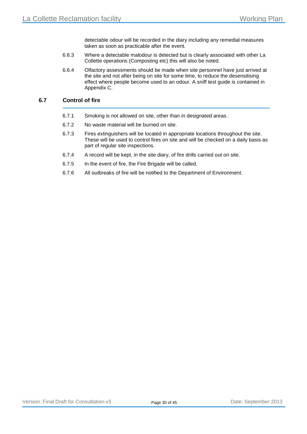detectable odour will be recorded in the diary including any remedial measures taken as soon as practicable after the event.

- 6.6.3 Where a detectable malodour is detected but is clearly associated with other La Collette operations (Composting etc) this will also be noted.
- 6.6.4 Olfactory assessments should be made when site personnel have just arrived at the site and not after being on site for some time, to reduce the desensitising effect where people become used to an odour. A sniff test guide is contained in Appendix C.

#### <span id="page-30-0"></span>**6.7 Control of fire**

- 6.7.1 Smoking is not allowed on site, other than in designated areas.
- 6.7.2 No waste material will be burned on site.
- 6.7.3 Fires extinguishers will be located in appropriate locations throughout the site. These will be used to control fires on site and will be checked on a daily basis as part of regular site inspections.
- 6.7.4 A record will be kept, in the site diary, of fire drills carried out on site.
- 6.7.5 In the event of fire, the Fire Brigade will be called.
- 6.7.6 All outbreaks of fire will be notified to the Department of Environment.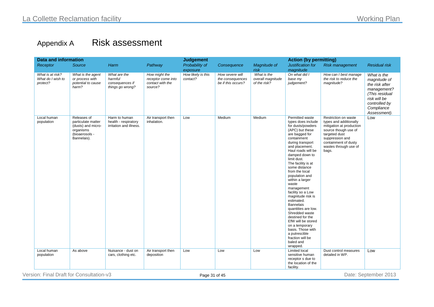# Appendix A Risk assessment

<span id="page-31-0"></span>

| <b>Data and information</b> |                                                   |                                                                                                       |                                                                  | <b>Judgement</b>                                                   |                                |                                                           | <b>Action (by permitting)</b>                    |                                                                                                                                                                                                                                                                                                                                                                                                                                                                                                                                                                                                      |                                                                                                                                                                                                  |                                                                                                                                               |
|-----------------------------|---------------------------------------------------|-------------------------------------------------------------------------------------------------------|------------------------------------------------------------------|--------------------------------------------------------------------|--------------------------------|-----------------------------------------------------------|--------------------------------------------------|------------------------------------------------------------------------------------------------------------------------------------------------------------------------------------------------------------------------------------------------------------------------------------------------------------------------------------------------------------------------------------------------------------------------------------------------------------------------------------------------------------------------------------------------------------------------------------------------------|--------------------------------------------------------------------------------------------------------------------------------------------------------------------------------------------------|-----------------------------------------------------------------------------------------------------------------------------------------------|
|                             | Receptor                                          | Source                                                                                                | Harm                                                             | Pathway                                                            | Probability of                 | Consequence                                               | Magnitude of                                     | Justification for                                                                                                                                                                                                                                                                                                                                                                                                                                                                                                                                                                                    | <b>Risk management</b>                                                                                                                                                                           | <b>Residual risk</b>                                                                                                                          |
|                             |                                                   |                                                                                                       |                                                                  |                                                                    | exposure                       |                                                           | risk                                             | magnitude                                                                                                                                                                                                                                                                                                                                                                                                                                                                                                                                                                                            |                                                                                                                                                                                                  |                                                                                                                                               |
|                             | What is at risk?<br>What do I wish to<br>protect? | What is the agent<br>or process with<br>potential to cause<br>harm?                                   | What are the<br>harmful<br>consequences if<br>things go wrong?   | How might the<br>receptor come into<br>contact with the<br>source? | How likely is this<br>contact? | How severe will<br>the consequences<br>be if this occurs? | What is the<br>overall magnitude<br>of the risk? | On what did I<br>base my<br>judgement?                                                                                                                                                                                                                                                                                                                                                                                                                                                                                                                                                               | How can I best manage<br>the risk to reduce the<br>magnitude?                                                                                                                                    | What is the<br>magnitude of<br>the risk after<br>management?<br>(This residual<br>risk will be<br>controlled by<br>Compliance<br>Assessment). |
|                             | Local human<br>population                         | Releases of<br>particulate matter<br>(dusts) and micro-<br>organisms<br>(bioaerosols -<br>Bannelais). | Harm to human<br>health - respiratory<br>irritation and illness. | Air transport then<br>inhalation.                                  | Low                            | Medium                                                    | Medium                                           | Permitted waste<br>types does include<br>for dusts/powders<br>(APC) but these<br>are bagged for<br>containment<br>during transport<br>and placement.<br>Haul roads will be<br>damped down to<br>limit dust.<br>The facility is at<br>some distance<br>from the local<br>population and<br>within a larger<br>waste<br>management<br>facility so a Low<br>magnitude risk is<br>estimated.<br><b>Bannelais</b><br>quantities are low.<br>Shredded waste<br>destined for the<br>EfW will be stored<br>on a temporary<br>basis. Those with<br>a putrescible<br>fraction will be<br>baled and<br>wrapped. | Restriction on waste<br>types and additionally<br>mitigation at production<br>source though use of<br>targeted dust<br>suppression and<br>containment of dusty<br>wastes through use of<br>bags. | Low                                                                                                                                           |
|                             | Local human<br>population                         | As above                                                                                              | Nuisance - dust on<br>cars, clothing etc.                        | Air transport then<br>deposition                                   | Low                            | Low                                                       | Low                                              | Limited local<br>sensitive human<br>receptor s due to<br>the location of the<br>facility.                                                                                                                                                                                                                                                                                                                                                                                                                                                                                                            | Dust control measures<br>detailed in WP.                                                                                                                                                         | Low                                                                                                                                           |

Version: Final Draft for Consultation-v3 **Page 31 of 45** Page 31 of 45 Date: September 2013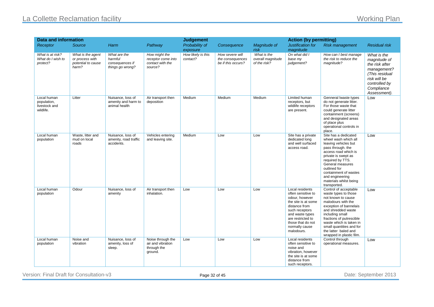### La Collette Reclamation facility **Working Plan**

| <b>Data and information</b>                              |                                                                     |                                                                |                                                                    | <b>Judgement</b>               |                                                           |                                                  | <b>Action (by permitting)</b>                                                                                                                                                                                  |                                                                                                                                                                                                                                                                                                     |                                                                                                                                               |
|----------------------------------------------------------|---------------------------------------------------------------------|----------------------------------------------------------------|--------------------------------------------------------------------|--------------------------------|-----------------------------------------------------------|--------------------------------------------------|----------------------------------------------------------------------------------------------------------------------------------------------------------------------------------------------------------------|-----------------------------------------------------------------------------------------------------------------------------------------------------------------------------------------------------------------------------------------------------------------------------------------------------|-----------------------------------------------------------------------------------------------------------------------------------------------|
| Receptor                                                 | Source                                                              | Harm                                                           | Pathway                                                            | Probability of<br>exposure     | Consequence                                               | Magnitude of<br>risk                             | Justification for<br>magnitude                                                                                                                                                                                 | <b>Risk management</b>                                                                                                                                                                                                                                                                              | <b>Residual risk</b>                                                                                                                          |
| What is at risk?<br>What do I wish to<br>protect?        | What is the agent<br>or process with<br>potential to cause<br>harm? | What are the<br>harmful<br>consequences if<br>things go wrong? | How might the<br>receptor come into<br>contact with the<br>source? | How likely is this<br>contact? | How severe will<br>the consequences<br>be if this occurs? | What is the<br>overall magnitude<br>of the risk? | On what did I<br>base my<br>judgement?                                                                                                                                                                         | How can I best manage<br>the risk to reduce the<br>magnitude?                                                                                                                                                                                                                                       | What is the<br>magnitude of<br>the risk after<br>management?<br>(This residual<br>risk will be<br>controlled by<br>Compliance<br>Assessment). |
| Local human<br>population,<br>livestock and<br>wildlife. | Litter                                                              | Nuisance, loss of<br>amenity and harm to<br>animal health      | Air transport then<br>deposition                                   | Medium                         | Medium                                                    | Medium                                           | Limited human<br>receptors, but<br>wildlife receptors<br>are present.                                                                                                                                          | Genneral Iwaste types<br>do not generate litter.<br>For those waste that<br>could generate litter<br>containment (screens)<br>and designated areas<br>of place plus<br>operational controls in<br>place.                                                                                            | Low                                                                                                                                           |
| Local human<br>population                                | Waste, litter and<br>mud on local<br>roads                          | Nuisance, loss of<br>amenity, road traffic<br>accidents.       | Vehicles entering<br>and leaving site.                             | Medium                         | Low                                                       | Low                                              | Site has a private<br>dedicated long<br>and well surfaced<br>access road.                                                                                                                                      | Site has a dedicated<br>wheel wash which all<br>leaving vehicles but<br>pass through. the<br>access road which is<br>private is swept as<br>required by TTS.<br>General measures<br>outlined for<br>containment of wastes<br>and engineering<br>materials whilst being<br>transported.              | Low                                                                                                                                           |
| Local human<br>population                                | Odour                                                               | Nuisance, loss of<br>amenity                                   | Air transport then<br>inhalation.                                  | Low                            | Low                                                       | Low                                              | Local residents<br>often sensitive to<br>odour, however<br>the site is at some<br>distance from<br>such receptors<br>and waste types<br>are restricted to<br>those that do not<br>normally cause<br>malodours. | Control of acceptable<br>waste types to those<br>not known to cause<br>malodours with the<br>exception of bannelais<br>and shredded waste<br>including small<br>fractions of putrescible<br>waste which is taken in<br>small quantities and for<br>the latter baled and<br>wrapped in plastic film. | Low                                                                                                                                           |
| Local human<br>population                                | Noise and<br>vibration                                              | Nuisance, loss of<br>amenity, loss of<br>sleep.                | Noise through the<br>air and vibration<br>through the<br>ground.   | Low                            | Low                                                       | Low                                              | Local residents<br>often sensitive to<br>noise and<br>vibration, however<br>the site is at some<br>distance from<br>such receptors.                                                                            | Control through<br>operational measures.                                                                                                                                                                                                                                                            | Low                                                                                                                                           |

Version: Final Draft for Consultation-v3 **Page 32 of 45** Page 32 of 45 Date: September 2013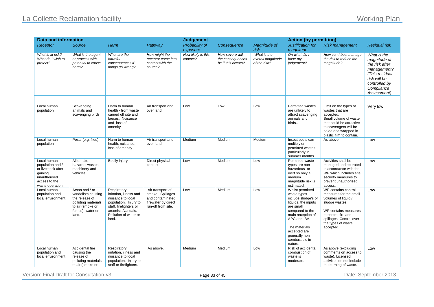### La Collette Reclamation facility Morking Plan

| Data and information                                                                                                 |                                                                                                                               |                                                                                                                                                                        | <b>Judgement</b>                                                                                      |                                |                                                           | <b>Action (by permitting)</b>                    |                                                                                                                                                                                                                                   |                                                                                                                                                                                                     |                                                                                                                                               |
|----------------------------------------------------------------------------------------------------------------------|-------------------------------------------------------------------------------------------------------------------------------|------------------------------------------------------------------------------------------------------------------------------------------------------------------------|-------------------------------------------------------------------------------------------------------|--------------------------------|-----------------------------------------------------------|--------------------------------------------------|-----------------------------------------------------------------------------------------------------------------------------------------------------------------------------------------------------------------------------------|-----------------------------------------------------------------------------------------------------------------------------------------------------------------------------------------------------|-----------------------------------------------------------------------------------------------------------------------------------------------|
| Receptor                                                                                                             | Source                                                                                                                        | Harm                                                                                                                                                                   | Pathway                                                                                               | Probability of<br>exposure     | Consequence                                               | Magnitude of<br>risk                             | Justification for<br>magnitude                                                                                                                                                                                                    | <b>Risk management</b>                                                                                                                                                                              | <b>Residual risk</b>                                                                                                                          |
| What is at risk?<br>What do I wish to<br>protect?                                                                    | What is the agent<br>or process with<br>potential to cause<br>harm?                                                           | What are the<br>harmful<br>consequences if<br>things go wrong?                                                                                                         | How might the<br>receptor come into<br>contact with the<br>source?                                    | How likely is this<br>contact? | How severe will<br>the consequences<br>be if this occurs? | What is the<br>overall magnitude<br>of the risk? | On what did I<br>base my<br>judgement?                                                                                                                                                                                            | How can I best manage<br>the risk to reduce the<br>magnitude?                                                                                                                                       | What is the<br>magnitude of<br>the risk after<br>management?<br>(This residual<br>risk will be<br>controlled by<br>Compliance<br>Assessment). |
|                                                                                                                      |                                                                                                                               |                                                                                                                                                                        |                                                                                                       |                                |                                                           |                                                  |                                                                                                                                                                                                                                   |                                                                                                                                                                                                     |                                                                                                                                               |
| Local human<br>population                                                                                            | Scavenging<br>animals and<br>scavenging birds                                                                                 | Harm to human<br>health - from waste<br>carried off site and<br>faeces. Nuisance<br>and loss of<br>amenity.                                                            | Air transport and<br>over land                                                                        | Low                            | Low                                                       | Low                                              | Permitted wastes<br>are unlikely to<br>attract scavenging<br>animals and<br>birds                                                                                                                                                 | Limit on the types of<br>wastes that are<br>accepted.<br>Small volume of waste<br>that could be attractive<br>to scavengers will be<br>baled and wrapped in<br>plastic film to contain.             | Very low                                                                                                                                      |
| Local human<br>population                                                                                            | Pests (e.g. flies)                                                                                                            | Harm to human<br>health, nuisance,<br>loss of amenity                                                                                                                  | Air transport and<br>over land                                                                        | Medium                         | Medium                                                    | Medium                                           | Insect pests can<br>multiply on<br>permitted wastes,<br>particularly in<br>summer months                                                                                                                                          | As above                                                                                                                                                                                            | Low                                                                                                                                           |
| Local human<br>population and /<br>or livestock after<br>gaining<br>unauthorised<br>access to the<br>waste operation | All on-site<br>hazards: wastes;<br>machinery and<br>vehicles.                                                                 | Bodily injury                                                                                                                                                          | Direct physical<br>contact                                                                            | Low                            | Medium                                                    | Low                                              | Permitted waste<br>types are non-<br>hazardous or<br>inert so only a<br>medium<br>magnitude risk is<br>estimated.                                                                                                                 | Activities shall be<br>managed and operated<br>in accordance with the<br>WP which includes site<br>security measures to<br>prevent unauthorised<br>access.                                          | Low                                                                                                                                           |
| Local human<br>population and<br>local environment.                                                                  | Arson and / or<br>vandalism causing<br>the release of<br>polluting materials<br>to air (smoke or<br>fumes), water or<br>land. | Respiratory<br>irritation, illness and<br>nuisance to local<br>population. Injury to<br>staff, firefighters or<br>arsonists/vandals.<br>Pollution of water or<br>land. | Air transport of<br>smoke. Spillages<br>and contaminated<br>firewater by direct<br>run-off from site. | Low                            | Medium                                                    | Low                                              | Whilst permitted<br>waste types<br>include sludge's or<br>liquids, the inputs<br>are small<br>compared to the<br>main reception of<br>APC and IBA.<br>The materials<br>accepted are<br>generally non<br>combustible in<br>nature. | WP contains control<br>measures for the small<br>volumes of liquid /<br>sludge wastes.<br>WP contains measures<br>to control fire and<br>spillages. Control over<br>the types of waste<br>accepted. | Low                                                                                                                                           |
| Local human<br>population and<br>local environment                                                                   | Accidental fire<br>causing the<br>release of<br>polluting materials<br>to air (smoke or                                       | Respiratory<br>irritation, illness and<br>nuisance to local<br>population. Injury to<br>staff or firefighters.                                                         | As above.                                                                                             | Medium                         | Medium                                                    | Low                                              | Risk of accidental<br>combustion of<br>waste is<br>moderate.                                                                                                                                                                      | As above (excluding<br>comments on access to<br>waste). Licensed<br>activities do not include<br>the burning of waste.                                                                              | Low                                                                                                                                           |

Version: Final Draft for Consultation-v3 **Page 33 of 45** Page 33 of 45 Date: September 2013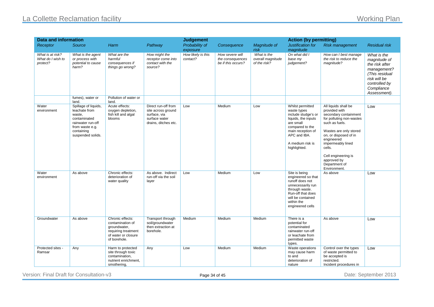### La Collette Reclamation facility **Working Plan**

| <b>Data and information</b>                       |                                                                                                                                            |                                                                                                                    |                                                                                                    | <b>Judgement</b>               |                                                           |                                                  | <b>Action (by permitting)</b>                                                                                                                                                          |                                                                                                                                                                                                                                                                                     |                                                                                                                                               |
|---------------------------------------------------|--------------------------------------------------------------------------------------------------------------------------------------------|--------------------------------------------------------------------------------------------------------------------|----------------------------------------------------------------------------------------------------|--------------------------------|-----------------------------------------------------------|--------------------------------------------------|----------------------------------------------------------------------------------------------------------------------------------------------------------------------------------------|-------------------------------------------------------------------------------------------------------------------------------------------------------------------------------------------------------------------------------------------------------------------------------------|-----------------------------------------------------------------------------------------------------------------------------------------------|
| Receptor                                          | <b>Source</b>                                                                                                                              | Harm                                                                                                               | Pathway                                                                                            | Probability of<br>exposure     | Consequence                                               | Magnitude of<br>risk                             | Justification for<br>magnitude                                                                                                                                                         | <b>Risk management</b>                                                                                                                                                                                                                                                              | <b>Residual risk</b>                                                                                                                          |
| What is at risk?<br>What do I wish to<br>protect? | What is the agent<br>or process with<br>potential to cause<br>harm?                                                                        | What are the<br>harmful<br>consequences if<br>things go wrong?                                                     | How might the<br>receptor come into<br>contact with the<br>source?                                 | How likely is this<br>contact? | How severe will<br>the consequences<br>be if this occurs? | What is the<br>overall magnitude<br>of the risk? | On what did I<br>base my<br>judgement?                                                                                                                                                 | How can I best manage<br>the risk to reduce the<br>magnitude?                                                                                                                                                                                                                       | What is the<br>magnitude of<br>the risk after<br>management?<br>(This residual<br>risk will be<br>controlled by<br>Compliance<br>Assessment). |
|                                                   | fumes), water or<br>land.                                                                                                                  | Pollution of water or<br>land.                                                                                     |                                                                                                    |                                |                                                           |                                                  |                                                                                                                                                                                        |                                                                                                                                                                                                                                                                                     |                                                                                                                                               |
| Water<br>environment                              | Spillage of liquids,<br>leachate from<br>waste,<br>contaminated<br>rainwater run-off<br>from waste e.g.<br>containing<br>suspended solids. | Acute effects:<br>oxygen depletion,<br>fish kill and algal<br>blooms                                               | Direct run-off from<br>site across ground<br>surface, via<br>surface water<br>drains, ditches etc. | Low                            | Medium                                                    | Low                                              | Whilst permitted<br>waste types<br>include sludge's or<br>liquids, the inputs<br>are small<br>compared to the<br>main reception of<br>APC and IBA.<br>A medium risk is<br>highlighted. | All liquids shall be<br>provided with<br>secondary containment<br>for polluting non-wastes<br>such as fuels.<br>Wastes are only stored<br>on, or disposed of in<br>engineered<br>impermeably lined<br>cells.<br>Cell engineering is<br>approved by<br>Department of<br>Environment. | Low                                                                                                                                           |
| Water<br>environment                              | As above                                                                                                                                   | Chronic effects:<br>deterioration of<br>water quality                                                              | As above. Indirect<br>run-off via the soil<br>layer                                                | Low                            | Medium                                                    | Low                                              | Site is being<br>engineered so that<br>runoff does not<br>unnecessarily run<br>through waste.<br>Run-off that does<br>will be contained<br>within the<br>engineered cells              | As above                                                                                                                                                                                                                                                                            | Low                                                                                                                                           |
| Groundwater                                       | As above                                                                                                                                   | Chronic effects:<br>contamination of<br>groundwater,<br>requiring treatment<br>of water or closure<br>of borehole. | Transport through<br>soil/groundwater<br>then extraction at<br>borehole.                           | Medium                         | Medium                                                    | Medium                                           | There is a<br>potential for<br>contaminated<br>rainwater run-off<br>or leachate from<br>permitted waste<br>types.                                                                      | As above                                                                                                                                                                                                                                                                            | Low                                                                                                                                           |
| Protected sites -<br>Ramsar                       | Any                                                                                                                                        | Harm to protected<br>site through toxic<br>contamination,<br>nutrient enrichment,<br>smothering,                   | Any                                                                                                | Low                            | Medium                                                    | Medium                                           | Waste operations<br>may cause harm<br>to and<br>deterioration of<br>nature                                                                                                             | Control over the types<br>of waste permitted to<br>be accepted is<br>restricted.<br>Incident procedures in                                                                                                                                                                          | Low                                                                                                                                           |

Version: Final Draft for Consultation-v3 **Page 34 of 45** Page 34 of 45 Date: September 2013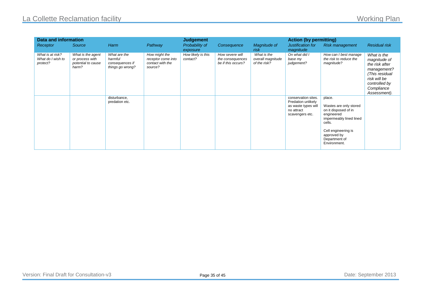### La Collette Reclamation facility **Now the Collective Collective Collective Collective Collective Collective Collective Collective Collective Collective Collective Collective Collective Collective Collective Collective Coll**

| Data and information                              |                                                                     |                                                                | <b>Judgement</b>                                                   |                                |                                                           | <b>Action (by permitting)</b>                    |                                                                                                   |                                                                                                                                                                                    |                                                                                                                                               |
|---------------------------------------------------|---------------------------------------------------------------------|----------------------------------------------------------------|--------------------------------------------------------------------|--------------------------------|-----------------------------------------------------------|--------------------------------------------------|---------------------------------------------------------------------------------------------------|------------------------------------------------------------------------------------------------------------------------------------------------------------------------------------|-----------------------------------------------------------------------------------------------------------------------------------------------|
| <b>Receptor</b>                                   | Source                                                              | Harm                                                           | Pathway                                                            | Probability of<br>exposure     | Consequence                                               | Magnitude of<br>risk                             | Justification for<br>magnitude                                                                    | <b>Risk management</b>                                                                                                                                                             | <b>Residual risk</b>                                                                                                                          |
| What is at risk?<br>What do I wish to<br>protect? | What is the agent<br>or process with<br>potential to cause<br>harm? | What are the<br>harmful<br>consequences if<br>things go wrong? | How might the<br>receptor come into<br>contact with the<br>source? | How likely is this<br>contact? | How severe will<br>the consequences<br>be if this occurs? | What is the<br>overall magnitude<br>of the risk? | On what did I<br>base my<br>judgement?                                                            | How can I best manage<br>the risk to reduce the<br>magnitude?                                                                                                                      | What is the<br>magnitude of<br>the risk after<br>management?<br>(This residual<br>risk will be<br>controlled by<br>Compliance<br>Assessment). |
|                                                   |                                                                     | disturbance,<br>predation etc.                                 |                                                                    |                                |                                                           |                                                  | conservation sites.<br>Predation unlikely<br>as waste types will<br>no attract<br>scavengers etc. | place.<br>Wastes are only stored<br>on it disposed of in<br>engineered<br>impermeably lined lined<br>cells.<br>Cell engineering is<br>approved by<br>Department of<br>Environment. |                                                                                                                                               |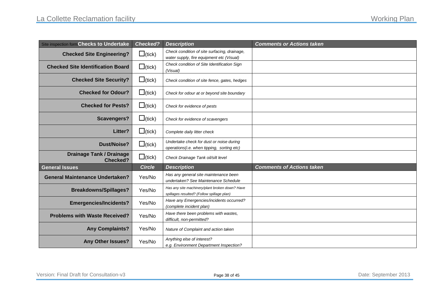<span id="page-36-0"></span>

| Site inspection form Checks to Undertake           | <b>Checked?</b> | <b>Description</b>                                                                           | <b>Comments or Actions taken</b> |
|----------------------------------------------------|-----------------|----------------------------------------------------------------------------------------------|----------------------------------|
| <b>Checked Site Engineering?</b>                   | $\Box$ (tick)   | Check condition of site surfacing, drainage,<br>water supply, fire equipment etc (Visual)    |                                  |
| <b>Checked Site Identification Board</b>           | $\Box$ (tick)   | Check condition of Site Identification Sign<br>(Visual)                                      |                                  |
| <b>Checked Site Security?</b>                      | $\Box$ (tick)   | Check condition of site fence, gates, hedges                                                 |                                  |
| <b>Checked for Odour?</b>                          | $\Box$ (tick)   | Check for odour at or beyond site boundary                                                   |                                  |
| <b>Checked for Pests?</b>                          | $\Box$ (tick)   | Check for evidence of pests                                                                  |                                  |
| <b>Scavengers?</b>                                 | $\Box$ (tick)   | Check for evidence of scavengers                                                             |                                  |
| Litter?                                            | $\Box$ (tick)   | Complete daily litter check                                                                  |                                  |
| <b>Dust/Noise?</b>                                 | $\Box$ (tick)   | Undertake check for dust or noise during<br>operations(i.e. when tipping, sorting etc)       |                                  |
| <b>Drainage Tank / Drainage</b><br><b>Checked?</b> | $\Box$ (tick)   | Check Drainage Tank oil/silt level                                                           |                                  |
| <b>General Issues</b>                              | <b>Circle</b>   | <b>Description</b>                                                                           | <b>Comments of Actions taken</b> |
| <b>General Maintenance Undertaken?</b>             | Yes/No          | Has any general site maintenance been<br>undertaken? See Maintenance Schedule                |                                  |
| <b>Breakdowns/Spillages?</b>                       | Yes/No          | Has any site machinery/plant broken down? Have<br>spillages resulted? (Follow spillage plan) |                                  |
| <b>Emergencies/Incidents?</b>                      | Yes/No          | Have any Emergencies/incidents occurred?<br>(complete incident plan)                         |                                  |
| <b>Problems with Waste Received?</b>               | Yes/No          | Have there been problems with wastes,<br>difficult, non-permitted?                           |                                  |
| <b>Any Complaints?</b>                             | Yes/No          | Nature of Complaint and action taken                                                         |                                  |
| Any Other Issues?                                  | Yes/No          | Anything else of interest?<br>e.g. Environment Department Inspection?                        |                                  |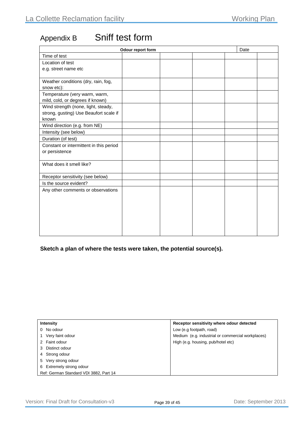# Appendix B Sniff test form

| Odour report form                       |  |  | Date |  |  |
|-----------------------------------------|--|--|------|--|--|
| Time of test                            |  |  |      |  |  |
| Location of test                        |  |  |      |  |  |
| e.g. street name etc                    |  |  |      |  |  |
|                                         |  |  |      |  |  |
| Weather conditions (dry, rain, fog,     |  |  |      |  |  |
| snow etc):                              |  |  |      |  |  |
| Temperature (very warm, warm,           |  |  |      |  |  |
| mild, cold, or degrees if known)        |  |  |      |  |  |
| Wind strength (none, light, steady,     |  |  |      |  |  |
| strong, gusting) Use Beaufort scale if  |  |  |      |  |  |
| known                                   |  |  |      |  |  |
| Wind direction (e.g. from NE)           |  |  |      |  |  |
| Intensity (see below)                   |  |  |      |  |  |
| Duration (of test)                      |  |  |      |  |  |
| Constant or intermittent in this period |  |  |      |  |  |
| or persistence                          |  |  |      |  |  |
|                                         |  |  |      |  |  |
| What does it smell like?                |  |  |      |  |  |
|                                         |  |  |      |  |  |
| Receptor sensitivity (see below)        |  |  |      |  |  |
| Is the source evident?                  |  |  |      |  |  |
| Any other comments or observations      |  |  |      |  |  |
|                                         |  |  |      |  |  |
|                                         |  |  |      |  |  |
|                                         |  |  |      |  |  |
|                                         |  |  |      |  |  |
|                                         |  |  |      |  |  |
|                                         |  |  |      |  |  |
|                                         |  |  |      |  |  |

#### **Sketch a plan of where the tests were taken, the potential source(s).**

| Intensity                              | Receptor sensitivity where odour detected         |  |  |
|----------------------------------------|---------------------------------------------------|--|--|
| 0 No odour                             | Low (e.g footpath, road)                          |  |  |
| Very faint odour                       | Medium (e.g. industrial or commercial workplaces) |  |  |
| Faint odour                            | High (e.g. housing, pub/hotel etc)                |  |  |
| Distinct odour                         |                                                   |  |  |
| Strong odour<br>4                      |                                                   |  |  |
| Very strong odour<br>5                 |                                                   |  |  |
| Extremely strong odour<br>6            |                                                   |  |  |
| Ref: German Standard VDI 3882, Part 14 |                                                   |  |  |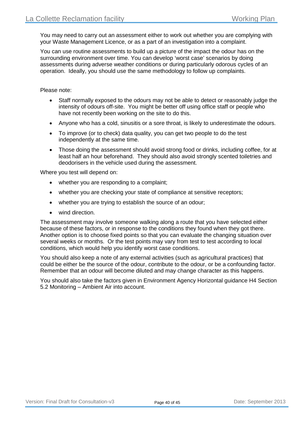You may need to carry out an assessment either to work out whether you are complying with your Waste Management Licence, or as a part of an investigation into a complaint.

You can use routine assessments to build up a picture of the impact the odour has on the surrounding environment over time. You can develop 'worst case' scenarios by doing assessments during adverse weather conditions or during particularly odorous cycles of an operation. Ideally, you should use the same methodology to follow up complaints.

Please note:

- Staff normally exposed to the odours may not be able to detect or reasonably judge the intensity of odours off-site. You might be better off using office staff or people who have not recently been working on the site to do this.
- Anyone who has a cold, sinusitis or a sore throat, is likely to underestimate the odours.
- To improve (or to check) data quality, you can get two people to do the test independently at the same time.
- Those doing the assessment should avoid strong food or drinks, including coffee, for at least half an hour beforehand. They should also avoid strongly scented toiletries and deodorisers in the vehicle used during the assessment.

Where you test will depend on:

- whether you are responding to a complaint;
- whether you are checking your state of compliance at sensitive receptors;
- whether you are trying to establish the source of an odour;
- wind direction.

The assessment may involve someone walking along a route that you have selected either because of these factors, or in response to the conditions they found when they got there. Another option is to choose fixed points so that you can evaluate the changing situation over several weeks or months. Or the test points may vary from test to test according to local conditions, which would help you identify worst case conditions.

You should also keep a note of any external activities (such as agricultural practices) that could be either be the source of the odour, contribute to the odour, or be a confounding factor. Remember that an odour will become diluted and may change character as this happens.

You should also take the factors given in Environment Agency Horizontal guidance H4 Section 5.2 Monitoring – Ambient Air into account.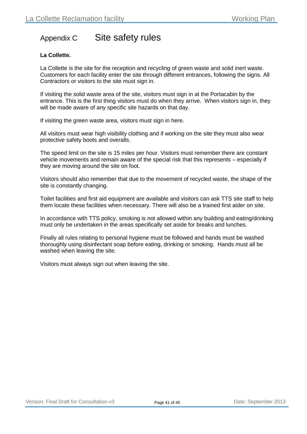### Appendix C Site safety rules

#### **La Collette.**

La Collette is the site for the reception and recycling of green waste and solid inert waste. Customers for each facility enter the site through different entrances, following the signs. All Contractors or visitors to the site must sign in.

If visiting the solid waste area of the site, visitors must sign in at the Portacabin by the entrance. This is the first thing visitors must do when they arrive. When visitors sign in, they will be made aware of any specific site hazards on that day.

If visiting the green waste area, visitors must sign in here.

All visitors must wear high visibility clothing and if working on the site they must also wear protective safety boots and overalls.

The speed limit on the site is 15 miles per hour. Visitors must remember there are constant vehicle movements and remain aware of the special risk that this represents – especially if they are moving around the site on foot.

Visitors should also remember that due to the movement of recycled waste, the shape of the site is constantly changing.

Toilet facilities and first aid equipment are available and visitors can ask TTS site staff to help them locate these facilities when necessary. There will also be a trained first aider on site.

In accordance with TTS policy, smoking is not allowed within any building and eating/drinking must only be undertaken in the areas specifically set aside for breaks and lunches.

Finally all rules relating to personal hygiene must be followed and hands must be washed thoroughly using disinfectant soap before eating, drinking or smoking. Hands must all be washed when leaving the site.

Visitors must always sign out when leaving the site.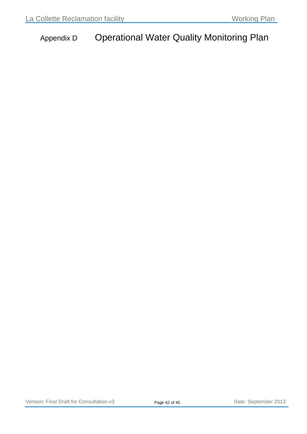# <span id="page-40-0"></span>Appendix D Operational Water Quality Monitoring Plan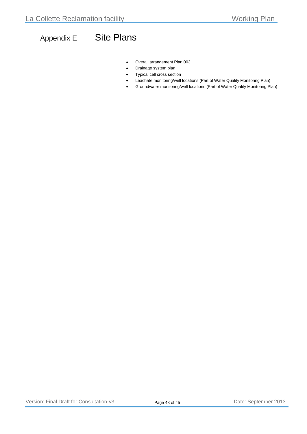# <span id="page-41-0"></span>Appendix E Site Plans

- Overall arrangement Plan 003
- Drainage system plan
- Typical cell cross section
- Leachate monitoring/well locations (Part of Water Quality Monitoring Plan)
- Groundwater monitoring/well locations (Part of Water Quality Monitoring Plan)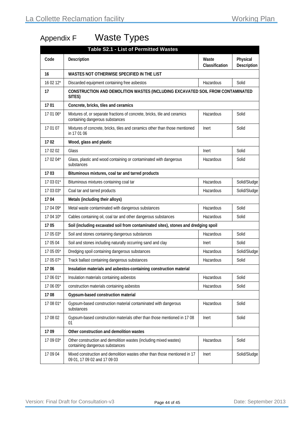# <span id="page-42-0"></span>Appendix F Waste Types

|           | <b>Table S2.1 - List of Permitted Wastes</b>                                                                 |                         |                         |  |  |
|-----------|--------------------------------------------------------------------------------------------------------------|-------------------------|-------------------------|--|--|
| Code      | Description                                                                                                  | Waste<br>Classification | Physical<br>Description |  |  |
| 16        | WASTES NOT OTHERWISE SPECIFIED IN THE LIST                                                                   |                         |                         |  |  |
| 16 02 12* | Discarded equipment containing free asbestos                                                                 | Hazardous               | Solid                   |  |  |
| 17        | CONSTRUCTION AND DEMOLITION WASTES (INCLUDING EXCAVATED SOIL FROM CONTAMINATED<br>SITES)                     |                         |                         |  |  |
| 1701      | Concrete, bricks, tiles and ceramics                                                                         |                         |                         |  |  |
| 17 01 06* | Mixtures of, or separate fractions of concrete, bricks, tile and ceramics<br>containing dangerous substances | Hazardous               | Solid                   |  |  |
| 17 01 07  | Mixtures of concrete, bricks, tiles and ceramics other than those mentioned<br>in 17 01 06                   | Inert                   | Solid                   |  |  |
| 1702      | Wood, glass and plastic                                                                                      |                         |                         |  |  |
| 17 02 02  | Glass                                                                                                        | Inert                   | Solid                   |  |  |
| 17 02 04* | Glass, plastic and wood containing or contaminated with dangerous<br>substances                              | Hazardous               | Solid                   |  |  |
| 1703      | Bituminous mixtures, coal tar and tarred products                                                            |                         |                         |  |  |
| 17 03 01* | Bituminous mixtures containing coal tar                                                                      | Hazardous               | Solid/Sludge            |  |  |
| 17 03 03* | Coal tar and tarred products                                                                                 | Hazardous               | Solid/Sludge            |  |  |
| 1704      | Metals (including their alloys)                                                                              |                         |                         |  |  |
| 17 04 09* | Metal waste contaminated with dangerous substances                                                           | Hazardous               | Solid                   |  |  |
| 17 04 10* | Cables containing oil, coal tar and other dangerous substances                                               | Hazardous               | Solid                   |  |  |
| 1705      | Soil (including excavated soil from contaminated sites), stones and dredging spoil                           |                         |                         |  |  |
| 17 05 03* | Soil and stones containing dangerous substances                                                              | Hazardous               | Solid                   |  |  |
| 17 05 04  | Soil and stones including naturally occurring sand and clay                                                  | Inert                   | Solid                   |  |  |
| 17 05 05* | Dredging spoil containing dangerous substances                                                               | Hazardous               | Solid/Sludge            |  |  |
| 17 05 07* | Track ballast containing dangerous substances                                                                | Hazardous               | Solid                   |  |  |
| 1706      | Insulation materials and asbestos-containing construction material                                           |                         |                         |  |  |
| 17 06 01* | Insulation materials containing asbestos                                                                     | Hazardous               | Solid                   |  |  |
| 17 06 05* | construction materials containing asbestos                                                                   | Hazardous               | Solid                   |  |  |
| 1708      | Gypsum-based construction material                                                                           |                         |                         |  |  |
| 17 08 01* | Gypsum-based construction material contaminated with dangerous<br>substances                                 | Hazardous               | Solid                   |  |  |
| 17 08 02  | Gypsum-based construction materials other than those mentioned in 17 08<br>01                                | Inert                   | Solid                   |  |  |
| 1709      | Other construction and demolition wastes                                                                     |                         |                         |  |  |
| 17 09 03* | Other construction and demolition wastes (including mixed wastes)<br>containing dangerous substances         | Hazardous               | Solid                   |  |  |
| 17 09 04  | Mixed construction and demolition wastes other than those mentioned in 17<br>09 01, 17 09 02 and 17 09 03    | Inert                   | Solid/Sludge            |  |  |